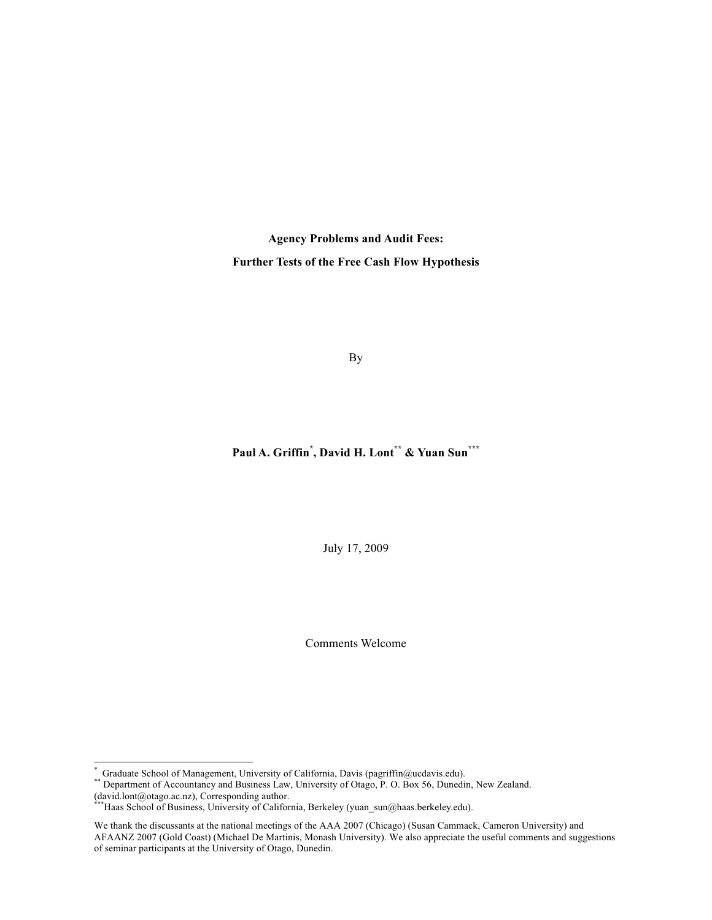**Agency Problems and Audit Fees: Further Tests of the Free Cash Flow Hypothesis**

By

# **Paul A. Griffin\* , David H. Lont\*\* & Yuan Sun\*\*\***

July 17, 2009

Comments Welcome

 <sup>\*</sup>

<sup>\*</sup> Graduate School of Management, University of California, Davis (pagriffin@ucdavis.edu).<br>\*\* Department of Accountancy and Business Law, University of Otago, P. O. Box 56, Dunedin, New Zealand.<br>(david.lont@otago.ac.nz), Co

<sup>\*</sup>Haas School of Business, University of California, Berkeley (yuan\_sun@haas.berkeley.edu).

We thank the discussants at the national meetings of the AAA 2007 (Chicago) (Susan Cammack, Cameron University) and AFAANZ 2007 (Gold Coast) (Michael De Martinis, Monash University). We also appreciate the useful comments and suggestions of seminar participants at the University of Otago, Dunedin.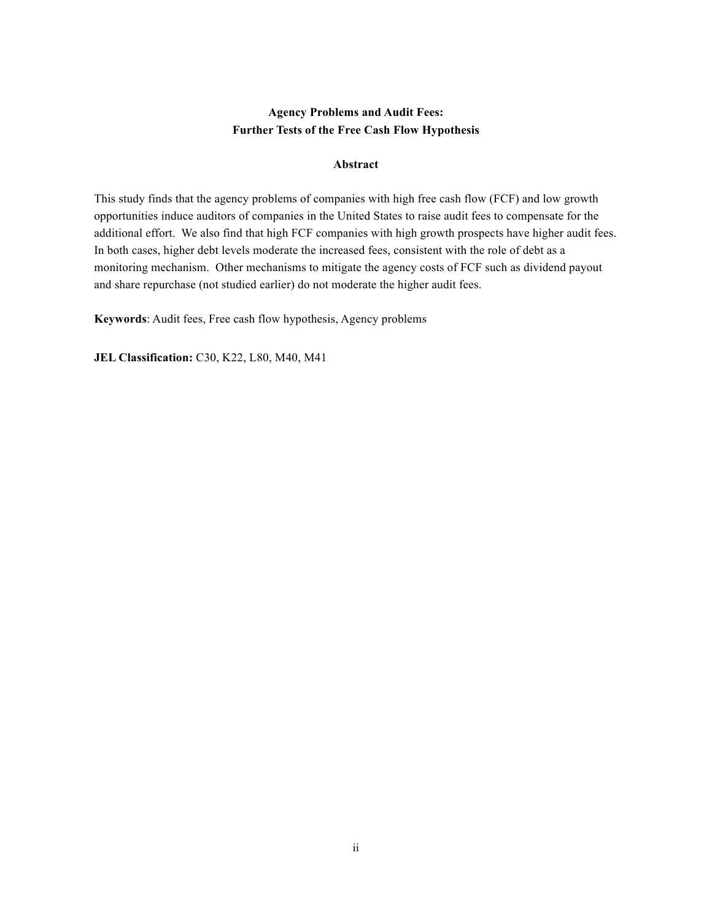# **Agency Problems and Audit Fees: Further Tests of the Free Cash Flow Hypothesis**

# **Abstract**

This study finds that the agency problems of companies with high free cash flow (FCF) and low growth opportunities induce auditors of companies in the United States to raise audit fees to compensate for the additional effort. We also find that high FCF companies with high growth prospects have higher audit fees. In both cases, higher debt levels moderate the increased fees, consistent with the role of debt as a monitoring mechanism. Other mechanisms to mitigate the agency costs of FCF such as dividend payout and share repurchase (not studied earlier) do not moderate the higher audit fees.

**Keywords**: Audit fees, Free cash flow hypothesis, Agency problems

**JEL Classification:** C30, K22, L80, M40, M41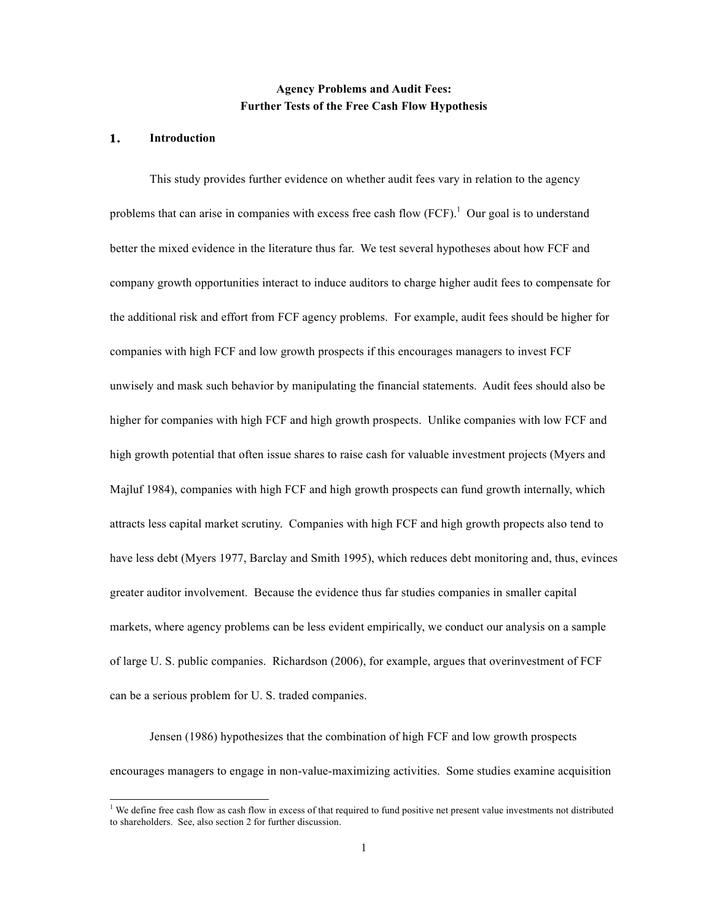# **Agency Problems and Audit Fees: Further Tests of the Free Cash Flow Hypothesis**

### **1. Introduction**

This study provides further evidence on whether audit fees vary in relation to the agency problems that can arise in companies with excess free cash flow  $(FCF)$ .<sup>1</sup> Our goal is to understand better the mixed evidence in the literature thus far. We test several hypotheses about how FCF and company growth opportunities interact to induce auditors to charge higher audit fees to compensate for the additional risk and effort from FCF agency problems. For example, audit fees should be higher for companies with high FCF and low growth prospects if this encourages managers to invest FCF unwisely and mask such behavior by manipulating the financial statements. Audit fees should also be higher for companies with high FCF and high growth prospects. Unlike companies with low FCF and high growth potential that often issue shares to raise cash for valuable investment projects (Myers and Majluf 1984), companies with high FCF and high growth prospects can fund growth internally, which attracts less capital market scrutiny. Companies with high FCF and high growth propects also tend to have less debt (Myers 1977, Barclay and Smith 1995), which reduces debt monitoring and, thus, evinces greater auditor involvement. Because the evidence thus far studies companies in smaller capital markets, where agency problems can be less evident empirically, we conduct our analysis on a sample of large U. S. public companies. Richardson (2006), for example, argues that overinvestment of FCF can be a serious problem for U. S. traded companies.

Jensen (1986) hypothesizes that the combination of high FCF and low growth prospects encourages managers to engage in non-value-maximizing activities. Some studies examine acquisition

 $\frac{1}{1}$ <sup>1</sup> We define free cash flow as cash flow in excess of that required to fund positive net present value investments not distributed to shareholders. See, also section 2 for further discussion.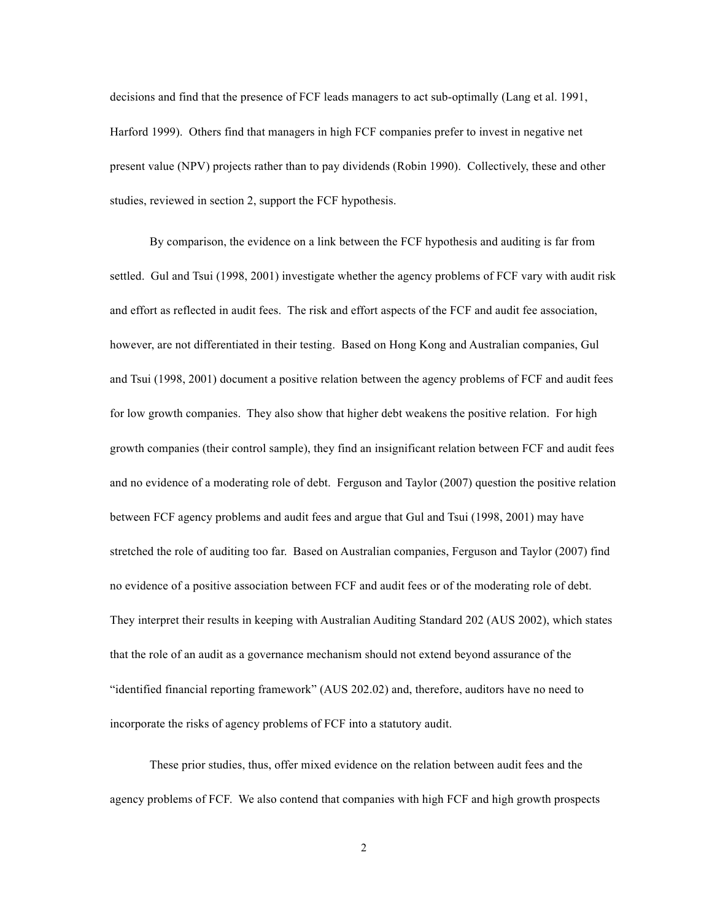decisions and find that the presence of FCF leads managers to act sub-optimally (Lang et al. 1991, Harford 1999). Others find that managers in high FCF companies prefer to invest in negative net present value (NPV) projects rather than to pay dividends (Robin 1990). Collectively, these and other studies, reviewed in section 2, support the FCF hypothesis.

By comparison, the evidence on a link between the FCF hypothesis and auditing is far from settled. Gul and Tsui (1998, 2001) investigate whether the agency problems of FCF vary with audit risk and effort as reflected in audit fees. The risk and effort aspects of the FCF and audit fee association, however, are not differentiated in their testing. Based on Hong Kong and Australian companies, Gul and Tsui (1998, 2001) document a positive relation between the agency problems of FCF and audit fees for low growth companies. They also show that higher debt weakens the positive relation. For high growth companies (their control sample), they find an insignificant relation between FCF and audit fees and no evidence of a moderating role of debt. Ferguson and Taylor (2007) question the positive relation between FCF agency problems and audit fees and argue that Gul and Tsui (1998, 2001) may have stretched the role of auditing too far. Based on Australian companies, Ferguson and Taylor (2007) find no evidence of a positive association between FCF and audit fees or of the moderating role of debt. They interpret their results in keeping with Australian Auditing Standard 202 (AUS 2002), which states that the role of an audit as a governance mechanism should not extend beyond assurance of the "identified financial reporting framework" (AUS 202.02) and, therefore, auditors have no need to incorporate the risks of agency problems of FCF into a statutory audit.

These prior studies, thus, offer mixed evidence on the relation between audit fees and the agency problems of FCF. We also contend that companies with high FCF and high growth prospects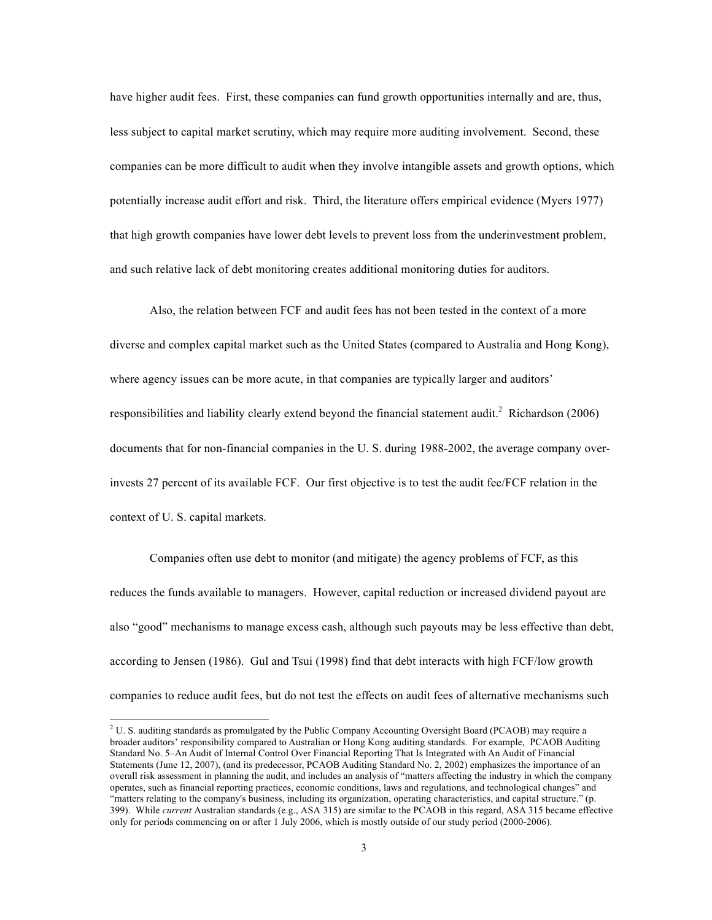have higher audit fees. First, these companies can fund growth opportunities internally and are, thus, less subject to capital market scrutiny, which may require more auditing involvement. Second, these companies can be more difficult to audit when they involve intangible assets and growth options, which potentially increase audit effort and risk. Third, the literature offers empirical evidence (Myers 1977) that high growth companies have lower debt levels to prevent loss from the underinvestment problem, and such relative lack of debt monitoring creates additional monitoring duties for auditors.

Also, the relation between FCF and audit fees has not been tested in the context of a more diverse and complex capital market such as the United States (compared to Australia and Hong Kong), where agency issues can be more acute, in that companies are typically larger and auditors' responsibilities and liability clearly extend beyond the financial statement audit.<sup>2</sup> Richardson (2006) documents that for non-financial companies in the U. S. during 1988-2002, the average company overinvests 27 percent of its available FCF. Our first objective is to test the audit fee/FCF relation in the context of U. S. capital markets.

Companies often use debt to monitor (and mitigate) the agency problems of FCF, as this reduces the funds available to managers. However, capital reduction or increased dividend payout are also "good" mechanisms to manage excess cash, although such payouts may be less effective than debt, according to Jensen (1986). Gul and Tsui (1998) find that debt interacts with high FCF/low growth companies to reduce audit fees, but do not test the effects on audit fees of alternative mechanisms such

 $2$  U. S. auditing standards as promulgated by the Public Company Accounting Oversight Board (PCAOB) may require a broader auditors' responsibility compared to Australian or Hong Kong auditing standards. For example, PCAOB Auditing Standard No. 5–An Audit of Internal Control Over Financial Reporting That Is Integrated with An Audit of Financial Statements (June 12, 2007), (and its predecessor, PCAOB Auditing Standard No. 2, 2002) emphasizes the importance of an overall risk assessment in planning the audit, and includes an analysis of "matters affecting the industry in which the company operates, such as financial reporting practices, economic conditions, laws and regulations, and technological changes" and "matters relating to the company's business, including its organization, operating characteristics, and capital structure." (p. 399). While *current* Australian standards (e.g., ASA 315) are similar to the PCAOB in this regard, ASA 315 became effective only for periods commencing on or after 1 July 2006, which is mostly outside of our study period (2000-2006).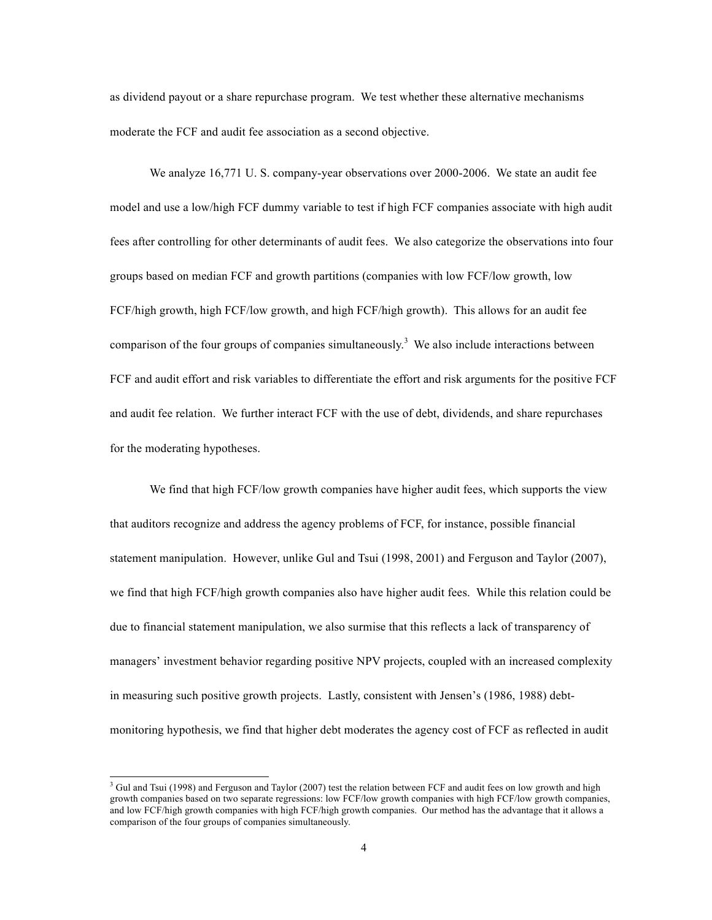as dividend payout or a share repurchase program. We test whether these alternative mechanisms moderate the FCF and audit fee association as a second objective.

We analyze 16,771 U. S. company-year observations over 2000-2006. We state an audit fee model and use a low/high FCF dummy variable to test if high FCF companies associate with high audit fees after controlling for other determinants of audit fees. We also categorize the observations into four groups based on median FCF and growth partitions (companies with low FCF/low growth, low FCF/high growth, high FCF/low growth, and high FCF/high growth). This allows for an audit fee comparison of the four groups of companies simultaneously.<sup>3</sup> We also include interactions between FCF and audit effort and risk variables to differentiate the effort and risk arguments for the positive FCF and audit fee relation. We further interact FCF with the use of debt, dividends, and share repurchases for the moderating hypotheses.

We find that high FCF/low growth companies have higher audit fees, which supports the view that auditors recognize and address the agency problems of FCF, for instance, possible financial statement manipulation. However, unlike Gul and Tsui (1998, 2001) and Ferguson and Taylor (2007), we find that high FCF/high growth companies also have higher audit fees. While this relation could be due to financial statement manipulation, we also surmise that this reflects a lack of transparency of managers' investment behavior regarding positive NPV projects, coupled with an increased complexity in measuring such positive growth projects. Lastly, consistent with Jensen's (1986, 1988) debtmonitoring hypothesis, we find that higher debt moderates the agency cost of FCF as reflected in audit

 $3$  Gul and Tsui (1998) and Ferguson and Taylor (2007) test the relation between FCF and audit fees on low growth and high growth companies based on two separate regressions: low FCF/low growth companies with high FCF/low growth companies, and low FCF/high growth companies with high FCF/high growth companies. Our method has the advantage that it allows a comparison of the four groups of companies simultaneously.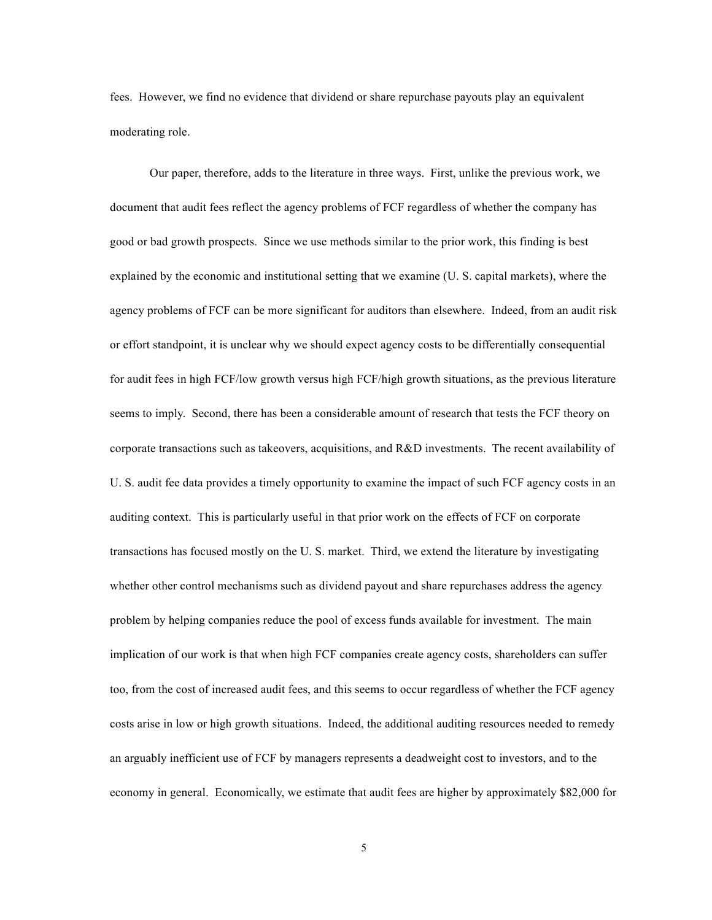fees. However, we find no evidence that dividend or share repurchase payouts play an equivalent moderating role.

Our paper, therefore, adds to the literature in three ways. First, unlike the previous work, we document that audit fees reflect the agency problems of FCF regardless of whether the company has good or bad growth prospects. Since we use methods similar to the prior work, this finding is best explained by the economic and institutional setting that we examine (U. S. capital markets), where the agency problems of FCF can be more significant for auditors than elsewhere. Indeed, from an audit risk or effort standpoint, it is unclear why we should expect agency costs to be differentially consequential for audit fees in high FCF/low growth versus high FCF/high growth situations, as the previous literature seems to imply. Second, there has been a considerable amount of research that tests the FCF theory on corporate transactions such as takeovers, acquisitions, and R&D investments. The recent availability of U. S. audit fee data provides a timely opportunity to examine the impact of such FCF agency costs in an auditing context. This is particularly useful in that prior work on the effects of FCF on corporate transactions has focused mostly on the U. S. market. Third, we extend the literature by investigating whether other control mechanisms such as dividend payout and share repurchases address the agency problem by helping companies reduce the pool of excess funds available for investment. The main implication of our work is that when high FCF companies create agency costs, shareholders can suffer too, from the cost of increased audit fees, and this seems to occur regardless of whether the FCF agency costs arise in low or high growth situations. Indeed, the additional auditing resources needed to remedy an arguably inefficient use of FCF by managers represents a deadweight cost to investors, and to the economy in general. Economically, we estimate that audit fees are higher by approximately \$82,000 for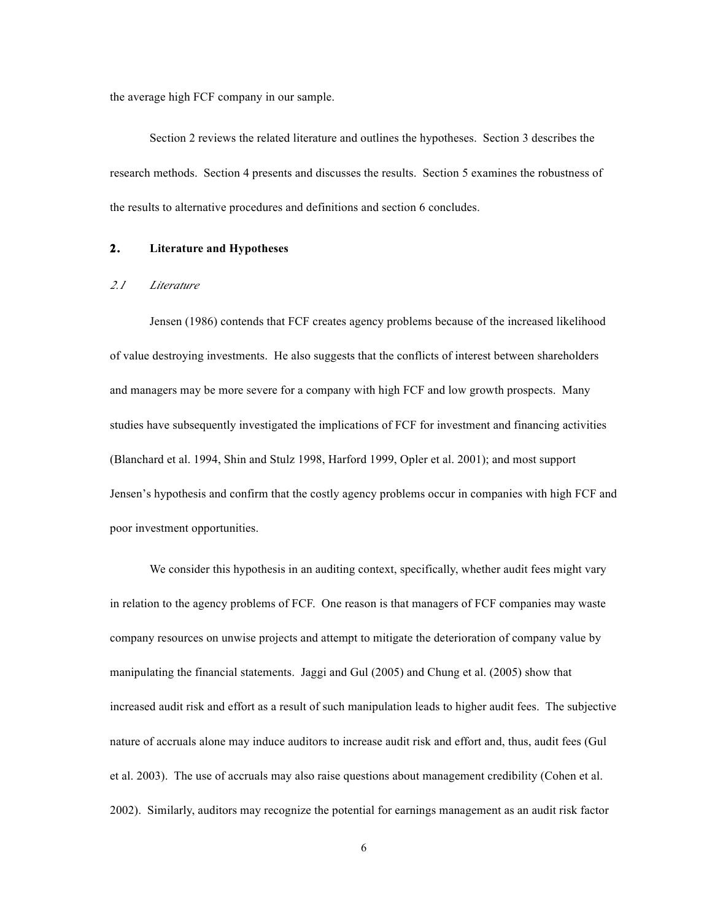the average high FCF company in our sample.

Section 2 reviews the related literature and outlines the hypotheses. Section 3 describes the research methods. Section 4 presents and discusses the results. Section 5 examines the robustness of the results to alternative procedures and definitions and section 6 concludes.

# **2. Literature and Hypotheses**

#### *2.1 Literature*

Jensen (1986) contends that FCF creates agency problems because of the increased likelihood of value destroying investments. He also suggests that the conflicts of interest between shareholders and managers may be more severe for a company with high FCF and low growth prospects. Many studies have subsequently investigated the implications of FCF for investment and financing activities (Blanchard et al. 1994, Shin and Stulz 1998, Harford 1999, Opler et al. 2001); and most support Jensen's hypothesis and confirm that the costly agency problems occur in companies with high FCF and poor investment opportunities.

We consider this hypothesis in an auditing context, specifically, whether audit fees might vary in relation to the agency problems of FCF. One reason is that managers of FCF companies may waste company resources on unwise projects and attempt to mitigate the deterioration of company value by manipulating the financial statements. Jaggi and Gul (2005) and Chung et al. (2005) show that increased audit risk and effort as a result of such manipulation leads to higher audit fees. The subjective nature of accruals alone may induce auditors to increase audit risk and effort and, thus, audit fees (Gul et al. 2003). The use of accruals may also raise questions about management credibility (Cohen et al. 2002). Similarly, auditors may recognize the potential for earnings management as an audit risk factor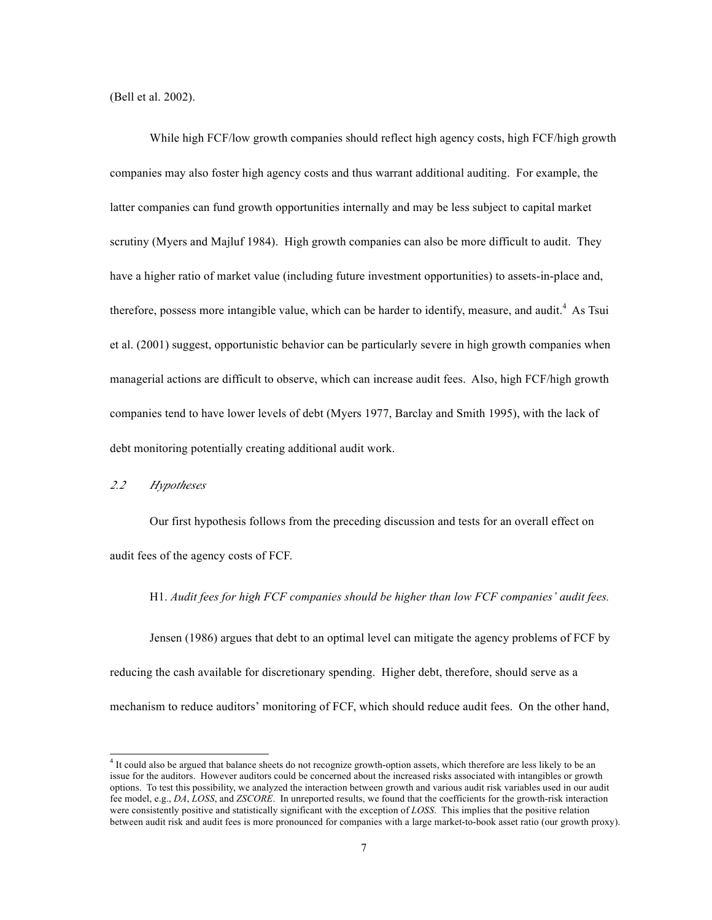(Bell et al. 2002).

While high FCF/low growth companies should reflect high agency costs, high FCF/high growth companies may also foster high agency costs and thus warrant additional auditing. For example, the latter companies can fund growth opportunities internally and may be less subject to capital market scrutiny (Myers and Majluf 1984). High growth companies can also be more difficult to audit. They have a higher ratio of market value (including future investment opportunities) to assets-in-place and, therefore, possess more intangible value, which can be harder to identify, measure, and audit. <sup>4</sup> As Tsui et al. (2001) suggest, opportunistic behavior can be particularly severe in high growth companies when managerial actions are difficult to observe, which can increase audit fees. Also, high FCF/high growth companies tend to have lower levels of debt (Myers 1977, Barclay and Smith 1995), with the lack of debt monitoring potentially creating additional audit work.

*2.2 Hypotheses*

Our first hypothesis follows from the preceding discussion and tests for an overall effect on audit fees of the agency costs of FCF.

H1. *Audit fees for high FCF companies should be higher than low FCF companies' audit fees.*

Jensen (1986) argues that debt to an optimal level can mitigate the agency problems of FCF by reducing the cash available for discretionary spending. Higher debt, therefore, should serve as a mechanism to reduce auditors' monitoring of FCF, which should reduce audit fees. On the other hand,

ا<br>4  $4$  It could also be argued that balance sheets do not recognize growth-option assets, which therefore are less likely to be an issue for the auditors. However auditors could be concerned about the increased risks associated with intangibles or growth options. To test this possibility, we analyzed the interaction between growth and various audit risk variables used in our audit fee model, e.g., *DA*, *LOSS*, and *ZSCORE*. In unreported results, we found that the coefficients for the growth-risk interaction were consistently positive and statistically significant with the exception of *LOSS*. This implies that the positive relation between audit risk and audit fees is more pronounced for companies with a large market-to-book asset ratio (our growth proxy).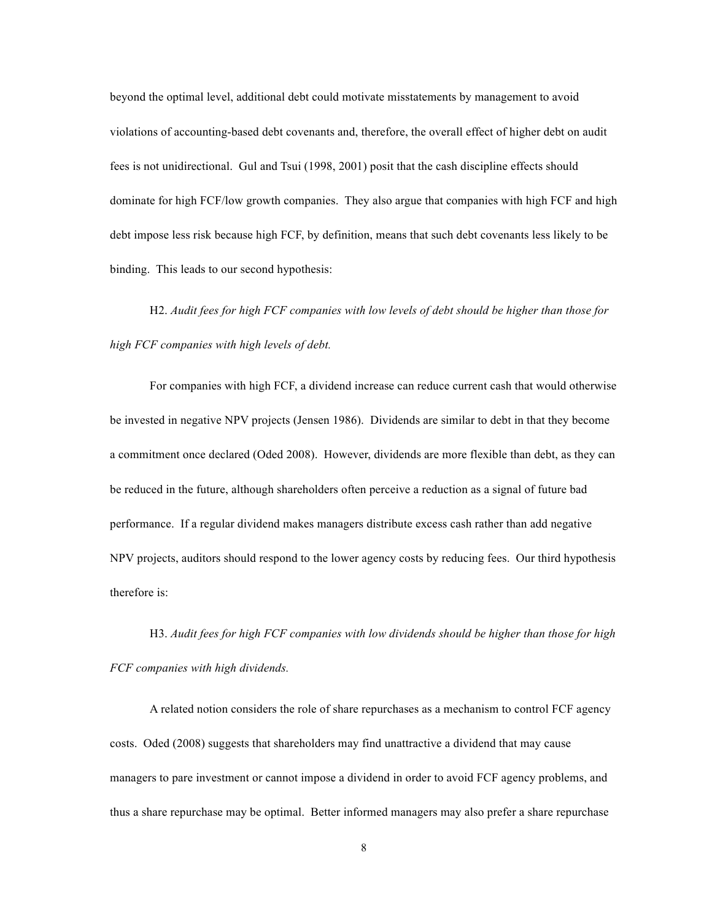beyond the optimal level, additional debt could motivate misstatements by management to avoid violations of accounting-based debt covenants and, therefore, the overall effect of higher debt on audit fees is not unidirectional. Gul and Tsui (1998, 2001) posit that the cash discipline effects should dominate for high FCF/low growth companies. They also argue that companies with high FCF and high debt impose less risk because high FCF, by definition, means that such debt covenants less likely to be binding. This leads to our second hypothesis:

H2. *Audit fees for high FCF companies with low levels of debt should be higher than those for high FCF companies with high levels of debt.*

For companies with high FCF, a dividend increase can reduce current cash that would otherwise be invested in negative NPV projects (Jensen 1986). Dividends are similar to debt in that they become a commitment once declared (Oded 2008). However, dividends are more flexible than debt, as they can be reduced in the future, although shareholders often perceive a reduction as a signal of future bad performance. If a regular dividend makes managers distribute excess cash rather than add negative NPV projects, auditors should respond to the lower agency costs by reducing fees. Our third hypothesis therefore is:

H3. *Audit fees for high FCF companies with low dividends should be higher than those for high FCF companies with high dividends.*

A related notion considers the role of share repurchases as a mechanism to control FCF agency costs. Oded (2008) suggests that shareholders may find unattractive a dividend that may cause managers to pare investment or cannot impose a dividend in order to avoid FCF agency problems, and thus a share repurchase may be optimal. Better informed managers may also prefer a share repurchase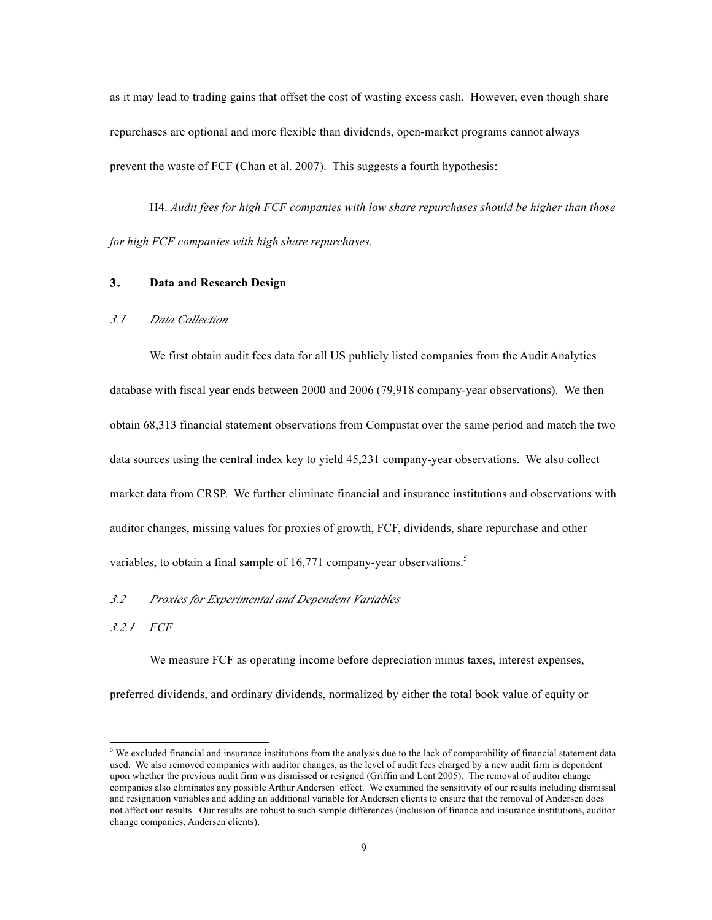as it may lead to trading gains that offset the cost of wasting excess cash. However, even though share repurchases are optional and more flexible than dividends, open-market programs cannot always prevent the waste of FCF (Chan et al. 2007). This suggests a fourth hypothesis:

H4. *Audit fees for high FCF companies with low share repurchases should be higher than those for high FCF companies with high share repurchases.*

### **3. Data and Research Design**

# *3.1 Data Collection*

We first obtain audit fees data for all US publicly listed companies from the Audit Analytics database with fiscal year ends between 2000 and 2006 (79,918 company-year observations). We then obtain 68,313 financial statement observations from Compustat over the same period and match the two data sources using the central index key to yield 45,231 company-year observations. We also collect market data from CRSP. We further eliminate financial and insurance institutions and observations with auditor changes, missing values for proxies of growth, FCF, dividends, share repurchase and other variables, to obtain a final sample of 16,771 company-year observations.<sup>5</sup>

## *3.2 Proxies for Experimental and Dependent Variables*

*3.2.1 FCF*

We measure FCF as operating income before depreciation minus taxes, interest expenses,

preferred dividends, and ordinary dividends, normalized by either the total book value of equity or

 <sup>5</sup> <sup>5</sup> We excluded financial and insurance institutions from the analysis due to the lack of comparability of financial statement data used. We also removed companies with auditor changes, as the level of audit fees charged by a new audit firm is dependent upon whether the previous audit firm was dismissed or resigned (Griffin and Lont 2005). The removal of auditor change companies also eliminates any possible Arthur Andersen effect. We examined the sensitivity of our results including dismissal and resignation variables and adding an additional variable for Andersen clients to ensure that the removal of Andersen does not affect our results. Our results are robust to such sample differences (inclusion of finance and insurance institutions, auditor change companies, Andersen clients).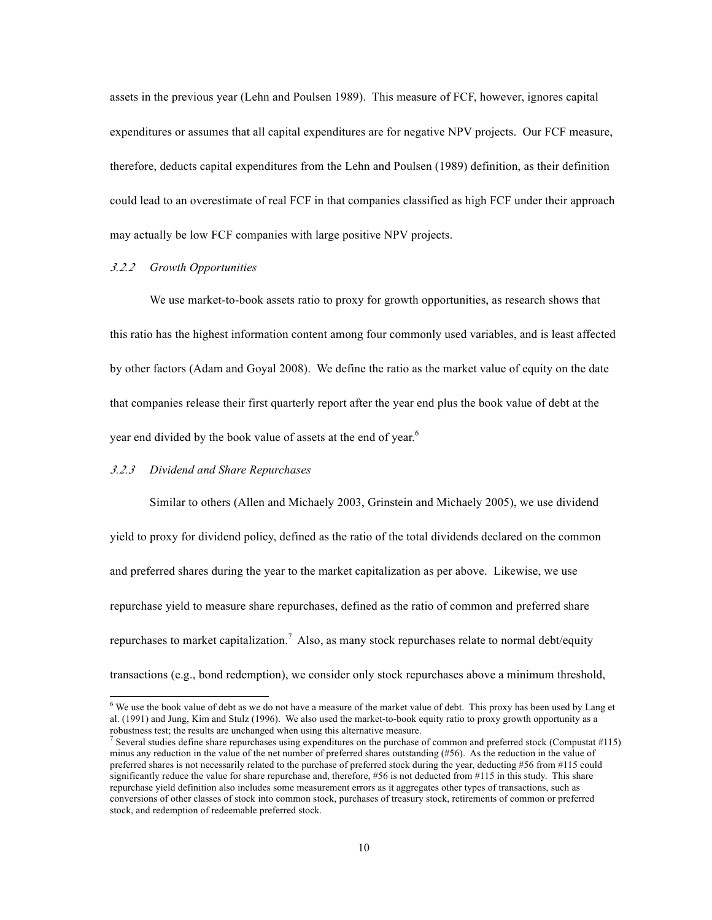assets in the previous year (Lehn and Poulsen 1989). This measure of FCF, however, ignores capital expenditures or assumes that all capital expenditures are for negative NPV projects. Our FCF measure, therefore, deducts capital expenditures from the Lehn and Poulsen (1989) definition, as their definition could lead to an overestimate of real FCF in that companies classified as high FCF under their approach may actually be low FCF companies with large positive NPV projects.

### *3.2.2 Growth Opportunities*

We use market-to-book assets ratio to proxy for growth opportunities, as research shows that this ratio has the highest information content among four commonly used variables, and is least affected by other factors (Adam and Goyal 2008). We define the ratio as the market value of equity on the date that companies release their first quarterly report after the year end plus the book value of debt at the year end divided by the book value of assets at the end of year.<sup>6</sup>

#### *3.2.3 Dividend and Share Repurchases*

Similar to others (Allen and Michaely 2003, Grinstein and Michaely 2005), we use dividend yield to proxy for dividend policy, defined as the ratio of the total dividends declared on the common and preferred shares during the year to the market capitalization as per above. Likewise, we use repurchase yield to measure share repurchases, defined as the ratio of common and preferred share repurchases to market capitalization.<sup>7</sup> Also, as many stock repurchases relate to normal debt/equity transactions (e.g., bond redemption), we consider only stock repurchases above a minimum threshold,

 <sup>6</sup> <sup>6</sup> We use the book value of debt as we do not have a measure of the market value of debt. This proxy has been used by Lang et al. (1991) and Jung, Kim and Stulz (1996). We also used the market-to-book equity ratio to proxy growth opportunity as a robustness test; the results are unchanged when using this alternative measure.<br><sup>7</sup> Several studies define share repurchases using expenditures on the purchase of common and preferred stock (Compustat #115)

minus any reduction in the value of the net number of preferred shares outstanding (#56). As the reduction in the value of preferred shares is not necessarily related to the purchase of preferred stock during the year, deducting #56 from #115 could significantly reduce the value for share repurchase and, therefore, #56 is not deducted from #115 in this study. This share repurchase yield definition also includes some measurement errors as it aggregates other types of transactions, such as conversions of other classes of stock into common stock, purchases of treasury stock, retirements of common or preferred stock, and redemption of redeemable preferred stock.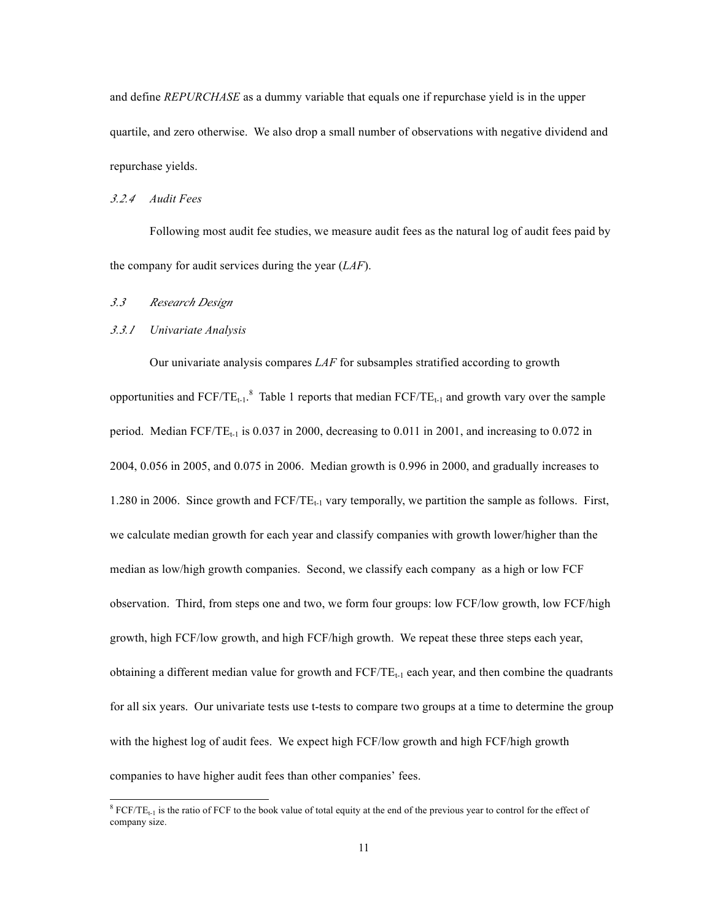and define *REPURCHASE* as a dummy variable that equals one if repurchase yield is in the upper quartile, and zero otherwise. We also drop a small number of observations with negative dividend and repurchase yields.

### *3.2.4 Audit Fees*

Following most audit fee studies, we measure audit fees as the natural log of audit fees paid by the company for audit services during the year (*LAF*).

# *3.3 Research Design*

#### *3.3.1 Univariate Analysis*

Our univariate analysis compares *LAF* for subsamples stratified according to growth opportunities and  $FCF/TE_{t-1}$ .<sup>8</sup> Table 1 reports that median  $FCF/TE_{t-1}$  and growth vary over the sample period. Median  $FCF/TE_{t-1}$  is 0.037 in 2000, decreasing to 0.011 in 2001, and increasing to 0.072 in 2004, 0.056 in 2005, and 0.075 in 2006. Median growth is 0.996 in 2000, and gradually increases to 1.280 in 2006. Since growth and FCF/TE<sub>t-1</sub> vary temporally, we partition the sample as follows. First, we calculate median growth for each year and classify companies with growth lower/higher than the median as low/high growth companies. Second, we classify each company as a high or low FCF observation. Third, from steps one and two, we form four groups: low FCF/low growth, low FCF/high growth, high FCF/low growth, and high FCF/high growth. We repeat these three steps each year, obtaining a different median value for growth and  $FCF/TE_{t-1}$  each year, and then combine the quadrants for all six years. Our univariate tests use t-tests to compare two groups at a time to determine the group with the highest log of audit fees. We expect high FCF/low growth and high FCF/high growth companies to have higher audit fees than other companies' fees.

 <sup>8</sup>  ${}^8$  FCF/TE<sub>t-1</sub> is the ratio of FCF to the book value of total equity at the end of the previous year to control for the effect of company size.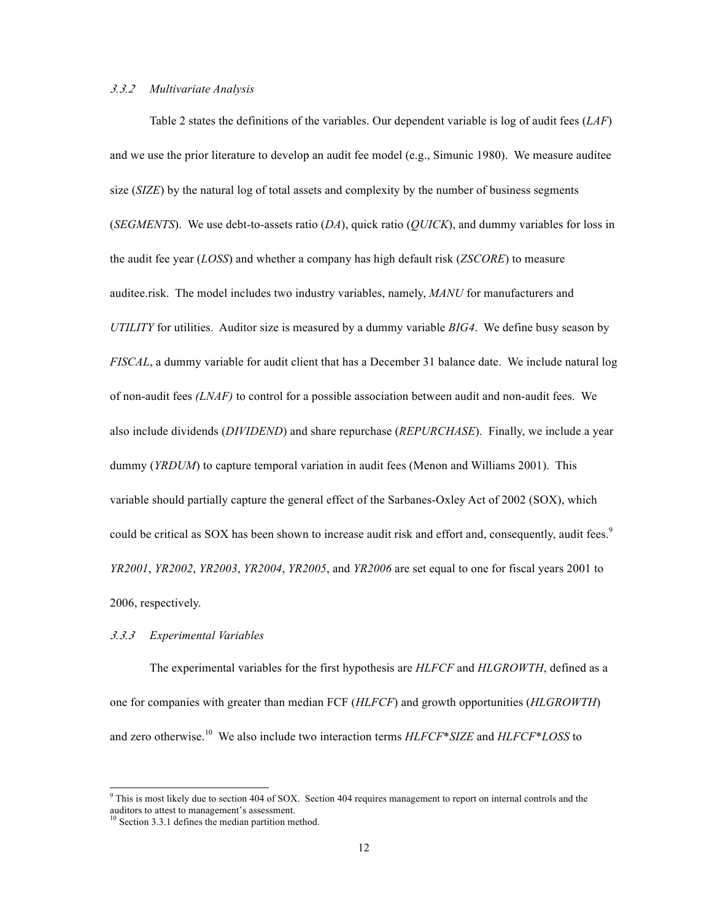# *3.3.2 Multivariate Analysis*

Table 2 states the definitions of the variables. Our dependent variable is log of audit fees (*LAF*) and we use the prior literature to develop an audit fee model (e.g., Simunic 1980). We measure auditee size (*SIZE*) by the natural log of total assets and complexity by the number of business segments (*SEGMENTS*). We use debt-to-assets ratio (*DA*), quick ratio (*QUICK*), and dummy variables for loss in the audit fee year (*LOSS*) and whether a company has high default risk (*ZSCORE*) to measure auditee.risk. The model includes two industry variables, namely, *MANU* for manufacturers and *UTILITY* for utilities. Auditor size is measured by a dummy variable *BIG4*. We define busy season by *FISCAL*, a dummy variable for audit client that has a December 31 balance date. We include natural log of non-audit fees *(LNAF)* to control for a possible association between audit and non-audit fees. We also include dividends (*DIVIDEND*) and share repurchase (*REPURCHASE*). Finally, we include a year dummy (*YRDUM*) to capture temporal variation in audit fees (Menon and Williams 2001). This variable should partially capture the general effect of the Sarbanes-Oxley Act of 2002 (SOX), which could be critical as SOX has been shown to increase audit risk and effort and, consequently, audit fees.<sup>9</sup> *YR2001*, *YR2002*, *YR2003*, *YR2004*, *YR2005*, and *YR2006* are set equal to one for fiscal years 2001 to 2006, respectively.

# *3.3.3 Experimental Variables*

The experimental variables for the first hypothesis are *HLFCF* and *HLGROWTH*, defined as a one for companies with greater than median FCF (*HLFCF*) and growth opportunities (*HLGROWTH*) and zero otherwise. 10 We also include two interaction terms *HLFCF*\**SIZE* and *HLFCF*\**LOSS* to

<sup>-&</sup>lt;br>9  $9$  This is most likely due to section 404 of SOX. Section 404 requires management to report on internal controls and the auditors to attest to management's assessment.<br><sup>10</sup> Section 3.3.1 defines the median partition method.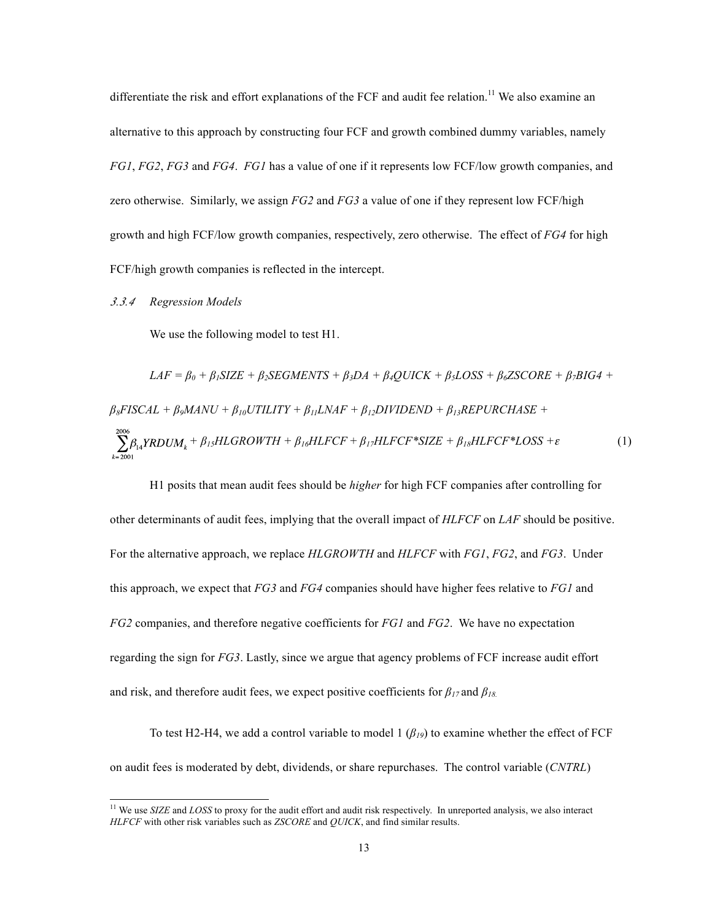differentiate the risk and effort explanations of the FCF and audit fee relation.<sup>11</sup> We also examine an alternative to this approach by constructing four FCF and growth combined dummy variables, namely *FG1*, *FG2*, *FG3* and *FG4*. *FG1* has a value of one if it represents low FCF/low growth companies, and zero otherwise. Similarly, we assign *FG2* and *FG3* a value of one if they represent low FCF/high growth and high FCF/low growth companies, respectively, zero otherwise. The effect of *FG4* for high FCF/high growth companies is reflected in the intercept.

### *3.3.4 Regression Models*

We use the following model to test H1.

$$
LAF = \beta_0 + \beta_1 SIZE + \beta_2 SEGMENTS + \beta_3 DA + \beta_4 QUICK + \beta_5 LOSS + \beta_6 ZSCORE + \beta_7 BIG4 +
$$
  
\n
$$
\beta_8 FISCAL + \beta_9 MANU + \beta_{10} UTILITY + \beta_{11} LNAF + \beta_{12} DIVIDEND + \beta_{13} REPURCHASE +
$$
  
\n
$$
\sum_{k=2001}^{2006} \beta_{14} YRDUM_k + \beta_{15} HLGROWTH + \beta_{16} HLFCF + \beta_{17} HLFCF * SIZE + \beta_{18} HLFCF * LOSS + \varepsilon
$$
 (1)

H1 posits that mean audit fees should be *higher* for high FCF companies after controlling for other determinants of audit fees, implying that the overall impact of *HLFCF* on *LAF* should be positive. For the alternative approach, we replace *HLGROWTH* and *HLFCF* with *FG1*, *FG2*, and *FG3*. Under this approach, we expect that *FG3* and *FG4* companies should have higher fees relative to *FG1* and *FG2* companies, and therefore negative coefficients for *FG1* and *FG2*. We have no expectation regarding the sign for *FG3*. Lastly, since we argue that agency problems of FCF increase audit effort and risk, and therefore audit fees, we expect positive coefficients for  $\beta_{17}$  and  $\beta_{18}$ .

To test H2-H4, we add a control variable to model 1 (*β19*) to examine whether the effect of FCF on audit fees is moderated by debt, dividends, or share repurchases. The control variable (*CNTRL*)

<sup>&</sup>lt;sup>11</sup> We use *SIZE* and *LOSS* to proxy for the audit effort and audit risk respectively. In unreported analysis, we also interact *HLFCF* with other risk variables such as *ZSCORE* and *QUICK*, and find similar results.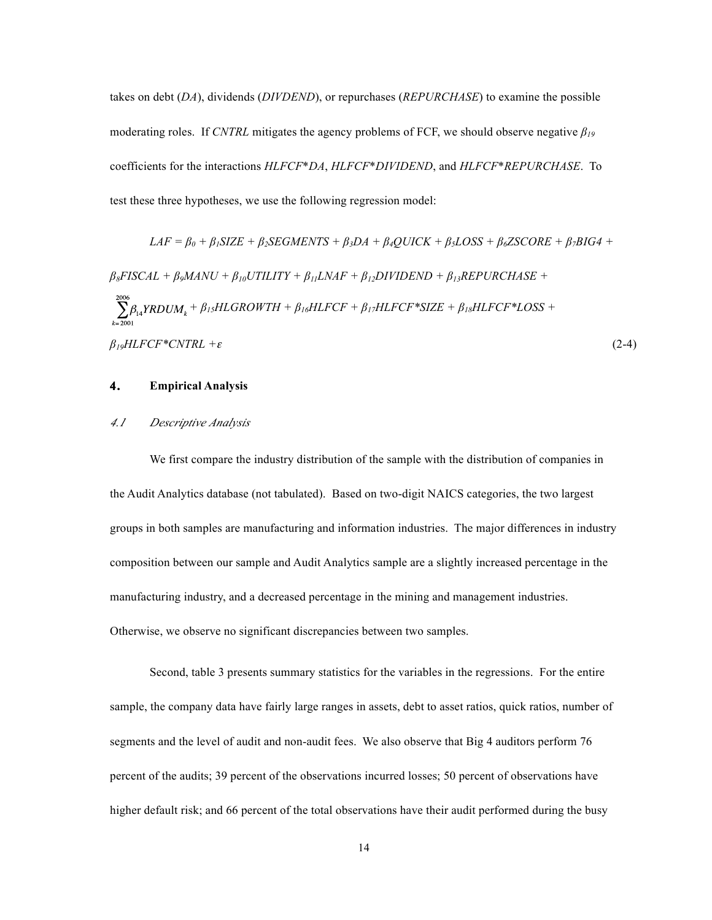takes on debt (*DA*), dividends (*DIVDEND*), or repurchases (*REPURCHASE*) to examine the possible moderating roles. If *CNTRL* mitigates the agency problems of FCF, we should observe negative *β<sup>19</sup>* coefficients for the interactions *HLFCF*\**DA*, *HLFCF*\**DIVIDEND*, and *HLFCF*\**REPURCHASE*. To test these three hypotheses, we use the following regression model:

$$
LAF = \beta_0 + \beta_1 SIZE + \beta_2 SEGMENTS + \beta_3 DA + \beta_4 QUICK + \beta_5 LOSS + \beta_6 ZSCORE + \beta_7 BIG4 +
$$
  
\n
$$
\beta_8 FISCAL + \beta_9 MANU + \beta_{10} UTILITY + \beta_{11} LNAF + \beta_{12} DIVIDEND + \beta_{13} REPURCHASE +
$$
  
\n
$$
\sum_{k=2001}^{2006} \beta_{14} YRDUM_k + \beta_{15} HLGROWTH + \beta_{16} HLFCF + \beta_{17} HLFCF * SIZE + \beta_{18} HLFCF * LOSS +
$$
  
\n
$$
\beta_{19} HLFCF * CNTRL + \varepsilon
$$
\n(2-4)

#### **4. Empirical Analysis**

### *4.1 Descriptive Analysis*

We first compare the industry distribution of the sample with the distribution of companies in the Audit Analytics database (not tabulated). Based on two-digit NAICS categories, the two largest groups in both samples are manufacturing and information industries. The major differences in industry composition between our sample and Audit Analytics sample are a slightly increased percentage in the manufacturing industry, and a decreased percentage in the mining and management industries. Otherwise, we observe no significant discrepancies between two samples.

Second, table 3 presents summary statistics for the variables in the regressions. For the entire sample, the company data have fairly large ranges in assets, debt to asset ratios, quick ratios, number of segments and the level of audit and non-audit fees. We also observe that Big 4 auditors perform 76 percent of the audits; 39 percent of the observations incurred losses; 50 percent of observations have higher default risk; and 66 percent of the total observations have their audit performed during the busy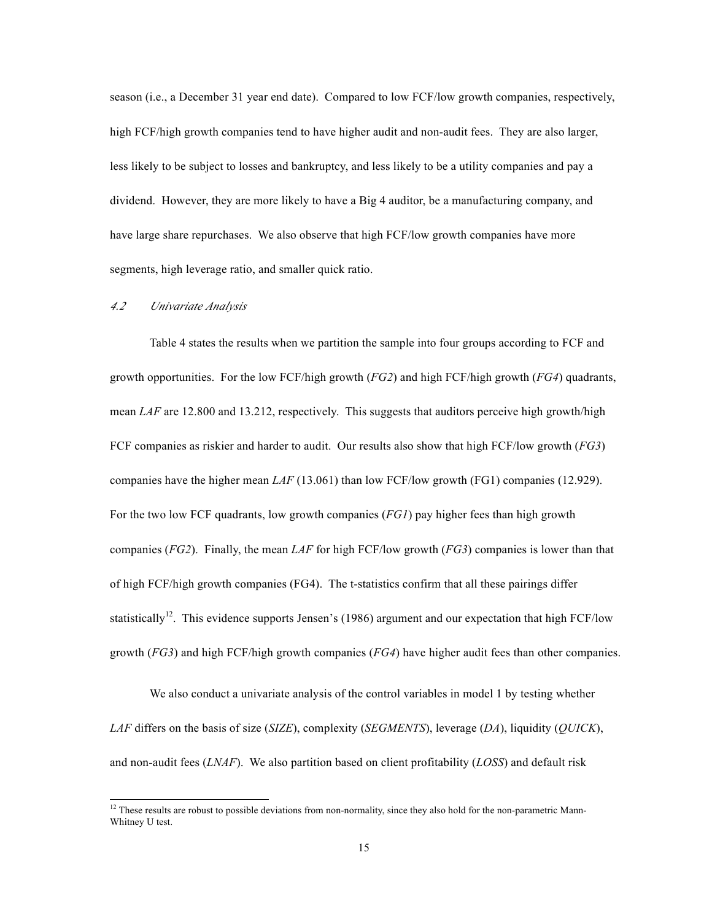season (i.e., a December 31 year end date). Compared to low FCF/low growth companies, respectively, high FCF/high growth companies tend to have higher audit and non-audit fees. They are also larger, less likely to be subject to losses and bankruptcy, and less likely to be a utility companies and pay a dividend. However, they are more likely to have a Big 4 auditor, be a manufacturing company, and have large share repurchases. We also observe that high FCF/low growth companies have more segments, high leverage ratio, and smaller quick ratio.

# *4.2 Univariate Analysis*

Table 4 states the results when we partition the sample into four groups according to FCF and growth opportunities. For the low FCF/high growth (*FG2*) and high FCF/high growth (*FG4*) quadrants, mean *LAF* are 12.800 and 13.212, respectively. This suggests that auditors perceive high growth/high FCF companies as riskier and harder to audit. Our results also show that high FCF/low growth (*FG3*) companies have the higher mean *LAF* (13.061) than low FCF/low growth (FG1) companies (12.929). For the two low FCF quadrants, low growth companies (*FG1*) pay higher fees than high growth companies (*FG2*). Finally, the mean *LAF* for high FCF/low growth (*FG3*) companies is lower than that of high FCF/high growth companies (FG4). The t-statistics confirm that all these pairings differ statistically<sup>12</sup>. This evidence supports Jensen's (1986) argument and our expectation that high FCF/low growth (*FG3*) and high FCF/high growth companies (*FG4*) have higher audit fees than other companies.

We also conduct a univariate analysis of the control variables in model 1 by testing whether *LAF* differs on the basis of size (*SIZE*), complexity (*SEGMENTS*), leverage (*DA*), liquidity (*QUICK*), and non-audit fees (*LNAF*). We also partition based on client profitability (*LOSS*) and default risk

 $12$ . These results are robust to possible deviations from non-normality, since they also hold for the non-parametric Mann-Whitney U test.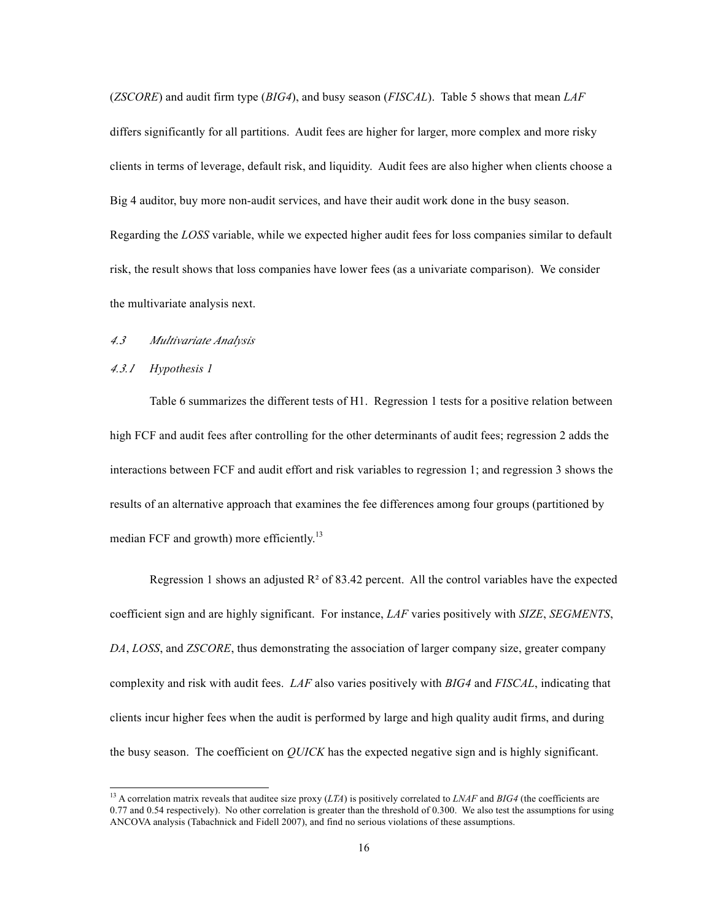(*ZSCORE*) and audit firm type (*BIG4*), and busy season (*FISCAL*). Table 5 shows that mean *LAF* differs significantly for all partitions. Audit fees are higher for larger, more complex and more risky clients in terms of leverage, default risk, and liquidity. Audit fees are also higher when clients choose a Big 4 auditor, buy more non-audit services, and have their audit work done in the busy season. Regarding the *LOSS* variable, while we expected higher audit fees for loss companies similar to default risk, the result shows that loss companies have lower fees (as a univariate comparison). We consider the multivariate analysis next.

# *4.3 Multivariate Analysis*

#### *4.3.1 Hypothesis 1*

Table 6 summarizes the different tests of H1. Regression 1 tests for a positive relation between high FCF and audit fees after controlling for the other determinants of audit fees; regression 2 adds the interactions between FCF and audit effort and risk variables to regression 1; and regression 3 shows the results of an alternative approach that examines the fee differences among four groups (partitioned by median FCF and growth) more efficiently.<sup>13</sup>

Regression 1 shows an adjusted  $R^2$  of 83.42 percent. All the control variables have the expected coefficient sign and are highly significant. For instance, *LAF* varies positively with *SIZE*, *SEGMENTS*, *DA*, *LOSS*, and *ZSCORE*, thus demonstrating the association of larger company size, greater company complexity and risk with audit fees. *LAF* also varies positively with *BIG4* and *FISCAL*, indicating that clients incur higher fees when the audit is performed by large and high quality audit firms, and during the busy season. The coefficient on *QUICK* has the expected negative sign and is highly significant.

 <sup>13</sup> A correlation matrix reveals that auditee size proxy (*LTA*) is positively correlated to *LNAF* and *BIG4* (the coefficients are 0.77 and 0.54 respectively). No other correlation is greater than the threshold of 0.300. We also test the assumptions for using ANCOVA analysis (Tabachnick and Fidell 2007), and find no serious violations of these assumptions.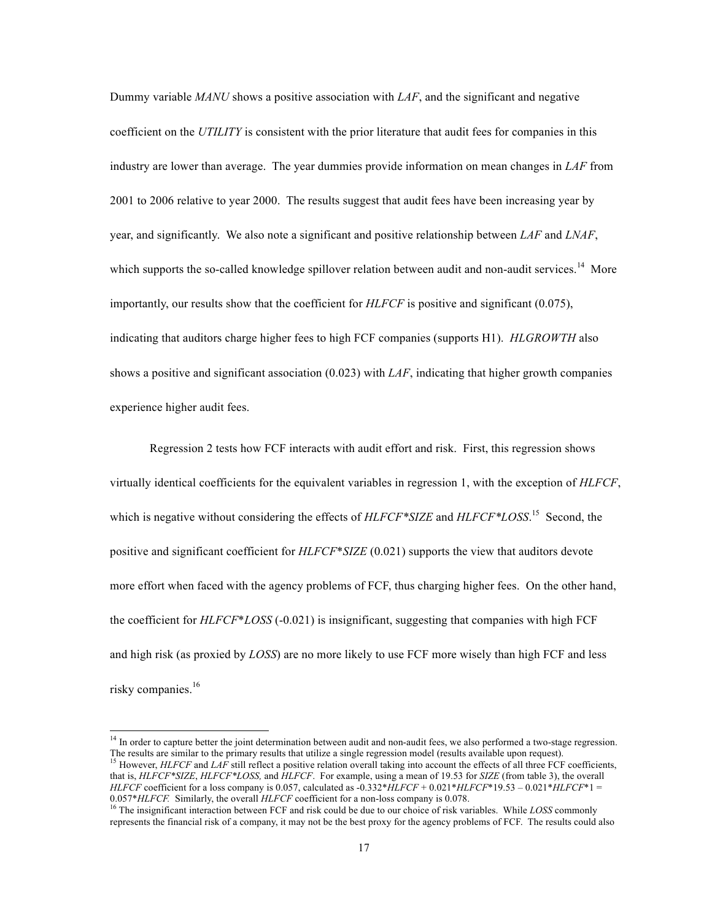Dummy variable *MANU* shows a positive association with *LAF*, and the significant and negative coefficient on the *UTILITY* is consistent with the prior literature that audit fees for companies in this industry are lower than average. The year dummies provide information on mean changes in *LAF* from 2001 to 2006 relative to year 2000. The results suggest that audit fees have been increasing year by year, and significantly. We also note a significant and positive relationship between *LAF* and *LNAF*, which supports the so-called knowledge spillover relation between audit and non-audit services.<sup>14</sup> More importantly, our results show that the coefficient for *HLFCF* is positive and significant (0.075), indicating that auditors charge higher fees to high FCF companies (supports H1). *HLGROWTH* also shows a positive and significant association (0.023) with *LAF*, indicating that higher growth companies experience higher audit fees.

Regression 2 tests how FCF interacts with audit effort and risk. First, this regression shows virtually identical coefficients for the equivalent variables in regression 1, with the exception of *HLFCF*, which is negative without considering the effects of *HLFCF\*SIZE* and *HLFCF\*LOSS*. 15 Second, the positive and significant coefficient for *HLFCF*\**SIZE* (0.021) supports the view that auditors devote more effort when faced with the agency problems of FCF, thus charging higher fees. On the other hand, the coefficient for *HLFCF*\**LOSS* (-0.021) is insignificant, suggesting that companies with high FCF and high risk (as proxied by *LOSS*) are no more likely to use FCF more wisely than high FCF and less risky companies. 16

<sup>&</sup>lt;sup>14</sup> In order to capture better the joint determination between audit and non-audit fees, we also performed a two-stage regression. The results are similar to the primary results that utilize a single regression model (results available upon request).<br><sup>15</sup> However, *HLFCF* and *LAF* still reflect a positive relation overall taking into account the effe that is, *HLFCF\*SIZE*, *HLFCF\*LOSS,* and *HLFCF*. For example, using a mean of 19.53 for *SIZE* (from table 3), the overall *HLFCF* coefficient for a loss company is 0.057, calculated as -0.332\**HLFCF* + 0.021\**HLFCF*\*19.53 – 0.021\**HLFCF*\*1 = 0.057\**HLFCF*. Similarly, the overall *HLFCF* coefficient for a non-loss company is 0.078.

<sup>&</sup>lt;sup>16</sup> The insignificant interaction between FCF and risk could be due to our choice of risk variables. While *LOSS* commonly represents the financial risk of a company, it may not be the best proxy for the agency problems of FCF. The results could also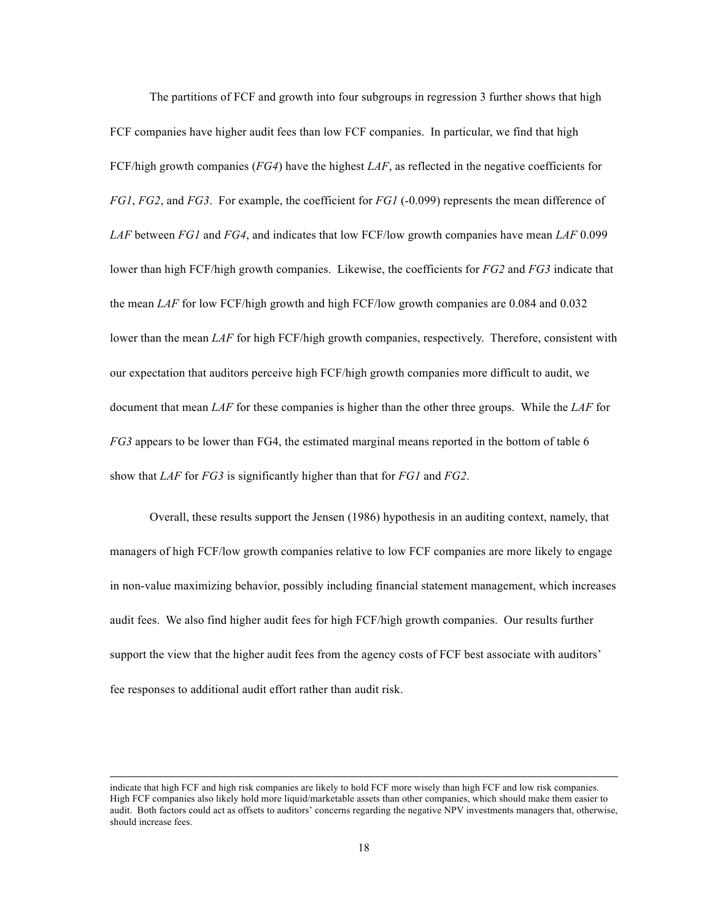The partitions of FCF and growth into four subgroups in regression 3 further shows that high FCF companies have higher audit fees than low FCF companies. In particular, we find that high FCF/high growth companies (*FG4*) have the highest *LAF*, as reflected in the negative coefficients for *FG1*, *FG2*, and *FG3*. For example, the coefficient for *FG1* (-0.099) represents the mean difference of *LAF* between *FG1* and *FG4*, and indicates that low FCF/low growth companies have mean *LAF* 0.099 lower than high FCF/high growth companies. Likewise, the coefficients for *FG2* and *FG3* indicate that the mean *LAF* for low FCF/high growth and high FCF/low growth companies are 0.084 and 0.032 lower than the mean *LAF* for high FCF/high growth companies, respectively. Therefore, consistent with our expectation that auditors perceive high FCF/high growth companies more difficult to audit, we document that mean *LAF* for these companies is higher than the other three groups. While the *LAF* for *FG3* appears to be lower than FG4, the estimated marginal means reported in the bottom of table 6 show that *LAF* for *FG3* is significantly higher than that for *FG1* and *FG2*.

Overall, these results support the Jensen (1986) hypothesis in an auditing context, namely, that managers of high FCF/low growth companies relative to low FCF companies are more likely to engage in non-value maximizing behavior, possibly including financial statement management, which increases audit fees. We also find higher audit fees for high FCF/high growth companies. Our results further support the view that the higher audit fees from the agency costs of FCF best associate with auditors' fee responses to additional audit effort rather than audit risk.

l

indicate that high FCF and high risk companies are likely to hold FCF more wisely than high FCF and low risk companies. High FCF companies also likely hold more liquid/marketable assets than other companies, which should make them easier to audit. Both factors could act as offsets to auditors' concerns regarding the negative NPV investments managers that, otherwise, should increase fees.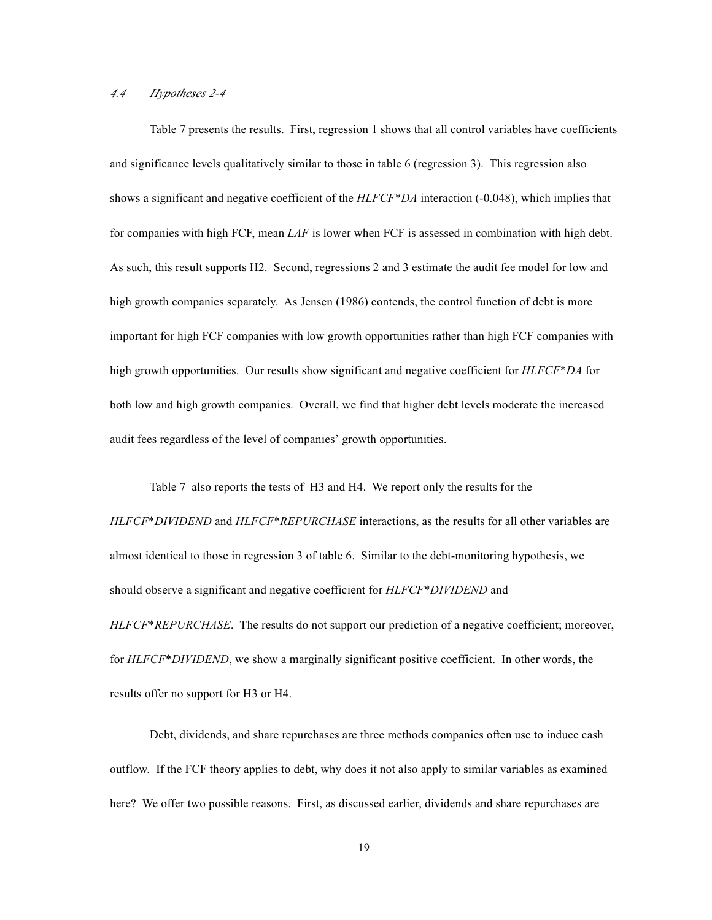# *4.4 Hypotheses 2-4*

Table 7 presents the results. First, regression 1 shows that all control variables have coefficients and significance levels qualitatively similar to those in table 6 (regression 3). This regression also shows a significant and negative coefficient of the *HLFCF*\**DA* interaction (-0.048), which implies that for companies with high FCF, mean *LAF* is lower when FCF is assessed in combination with high debt. As such, this result supports H2. Second, regressions 2 and 3 estimate the audit fee model for low and high growth companies separately. As Jensen (1986) contends, the control function of debt is more important for high FCF companies with low growth opportunities rather than high FCF companies with high growth opportunities. Our results show significant and negative coefficient for *HLFCF*\**DA* for both low and high growth companies. Overall, we find that higher debt levels moderate the increased audit fees regardless of the level of companies' growth opportunities.

Table 7 also reports the tests of H3 and H4. We report only the results for the *HLFCF*\**DIVIDEND* and *HLFCF*\**REPURCHASE* interactions, as the results for all other variables are almost identical to those in regression 3 of table 6. Similar to the debt-monitoring hypothesis, we should observe a significant and negative coefficient for *HLFCF*\**DIVIDEND* and *HLFCF*\**REPURCHASE*. The results do not support our prediction of a negative coefficient; moreover, for *HLFCF*\**DIVIDEND*, we show a marginally significant positive coefficient. In other words, the results offer no support for H3 or H4.

Debt, dividends, and share repurchases are three methods companies often use to induce cash outflow. If the FCF theory applies to debt, why does it not also apply to similar variables as examined here? We offer two possible reasons. First, as discussed earlier, dividends and share repurchases are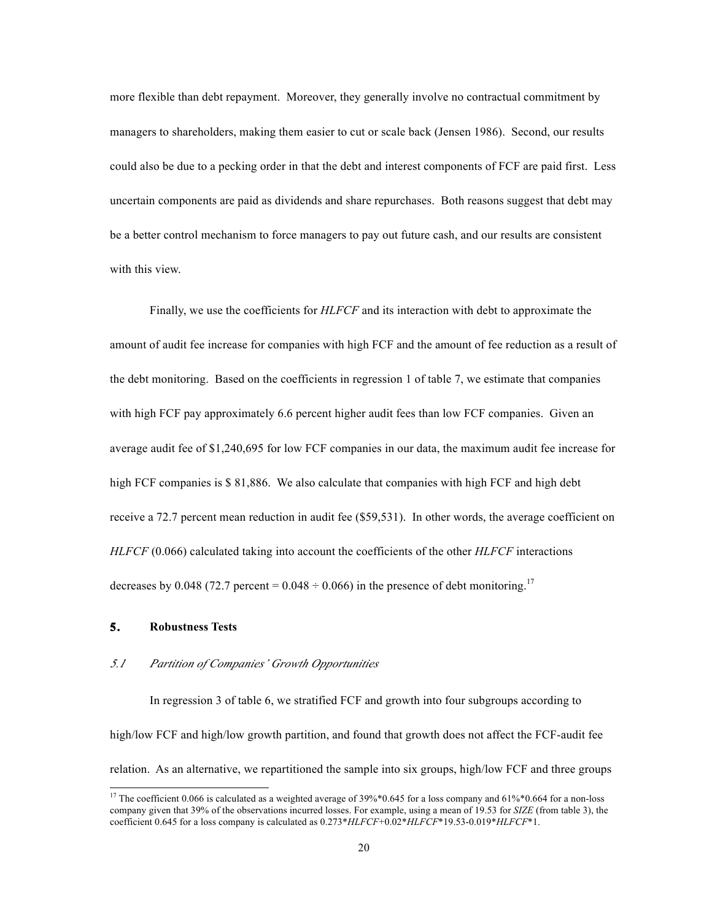more flexible than debt repayment. Moreover, they generally involve no contractual commitment by managers to shareholders, making them easier to cut or scale back (Jensen 1986). Second, our results could also be due to a pecking order in that the debt and interest components of FCF are paid first. Less uncertain components are paid as dividends and share repurchases. Both reasons suggest that debt may be a better control mechanism to force managers to pay out future cash, and our results are consistent with this view.

Finally, we use the coefficients for *HLFCF* and its interaction with debt to approximate the amount of audit fee increase for companies with high FCF and the amount of fee reduction as a result of the debt monitoring. Based on the coefficients in regression 1 of table 7, we estimate that companies with high FCF pay approximately 6.6 percent higher audit fees than low FCF companies. Given an average audit fee of \$1,240,695 for low FCF companies in our data, the maximum audit fee increase for high FCF companies is \$ 81,886. We also calculate that companies with high FCF and high debt receive a 72.7 percent mean reduction in audit fee (\$59,531). In other words, the average coefficient on *HLFCF* (0.066) calculated taking into account the coefficients of the other *HLFCF* interactions decreases by 0.048 (72.7 percent = 0.048  $\div$  0.066) in the presence of debt monitoring.<sup>17</sup>

# **5. Robustness Tests**

# *5.1 Partition of Companies' Growth Opportunities*

In regression 3 of table 6, we stratified FCF and growth into four subgroups according to high/low FCF and high/low growth partition, and found that growth does not affect the FCF-audit fee relation. As an alternative, we repartitioned the sample into six groups, high/low FCF and three groups

<sup>&</sup>lt;sup>17</sup> The coefficient 0.066 is calculated as a weighted average of  $39\%*0.645$  for a loss company and  $61\%*0.664$  for a non-loss company given that 39% of the observations incurred losses. For example, using a mean of 19.53 for *SIZE* (from table 3), the coefficient 0.645 for a loss company is calculated as 0.273\**HLFCF*+0.02\**HLFCF*\*19.53-0.019\**HLFCF*\*1.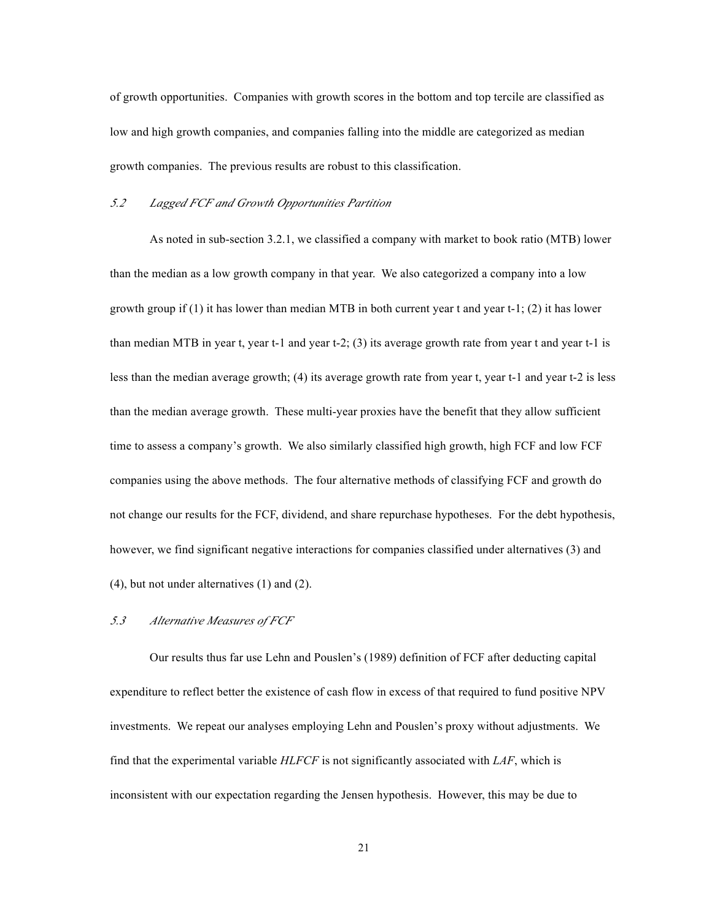of growth opportunities. Companies with growth scores in the bottom and top tercile are classified as low and high growth companies, and companies falling into the middle are categorized as median growth companies. The previous results are robust to this classification.

## *5.2 Lagged FCF and Growth Opportunities Partition*

As noted in sub-section 3.2.1, we classified a company with market to book ratio (MTB) lower than the median as a low growth company in that year. We also categorized a company into a low growth group if (1) it has lower than median MTB in both current year t and year t-1; (2) it has lower than median MTB in year t, year t-1 and year t-2; (3) its average growth rate from year t and year t-1 is less than the median average growth; (4) its average growth rate from year t, year t-1 and year t-2 is less than the median average growth. These multi-year proxies have the benefit that they allow sufficient time to assess a company's growth. We also similarly classified high growth, high FCF and low FCF companies using the above methods. The four alternative methods of classifying FCF and growth do not change our results for the FCF, dividend, and share repurchase hypotheses. For the debt hypothesis, however, we find significant negative interactions for companies classified under alternatives (3) and (4), but not under alternatives (1) and (2).

# *5.3 Alternative Measures of FCF*

Our results thus far use Lehn and Pouslen's (1989) definition of FCF after deducting capital expenditure to reflect better the existence of cash flow in excess of that required to fund positive NPV investments. We repeat our analyses employing Lehn and Pouslen's proxy without adjustments. We find that the experimental variable *HLFCF* is not significantly associated with *LAF*, which is inconsistent with our expectation regarding the Jensen hypothesis. However, this may be due to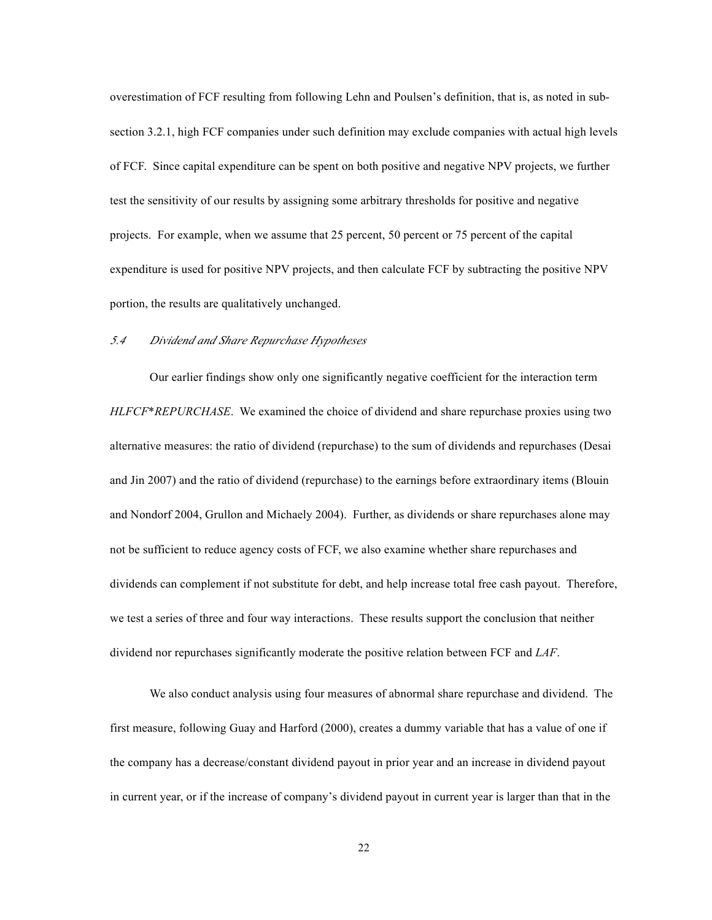overestimation of FCF resulting from following Lehn and Poulsen's definition, that is, as noted in subsection 3.2.1, high FCF companies under such definition may exclude companies with actual high levels of FCF. Since capital expenditure can be spent on both positive and negative NPV projects, we further test the sensitivity of our results by assigning some arbitrary thresholds for positive and negative projects. For example, when we assume that 25 percent, 50 percent or 75 percent of the capital expenditure is used for positive NPV projects, and then calculate FCF by subtracting the positive NPV portion, the results are qualitatively unchanged.

## *5.4 Dividend and Share Repurchase Hypotheses*

Our earlier findings show only one significantly negative coefficient for the interaction term *HLFCF*\**REPURCHASE*. We examined the choice of dividend and share repurchase proxies using two alternative measures: the ratio of dividend (repurchase) to the sum of dividends and repurchases (Desai and Jin 2007) and the ratio of dividend (repurchase) to the earnings before extraordinary items (Blouin and Nondorf 2004, Grullon and Michaely 2004). Further, as dividends or share repurchases alone may not be sufficient to reduce agency costs of FCF, we also examine whether share repurchases and dividends can complement if not substitute for debt, and help increase total free cash payout. Therefore, we test a series of three and four way interactions. These results support the conclusion that neither dividend nor repurchases significantly moderate the positive relation between FCF and *LAF*.

We also conduct analysis using four measures of abnormal share repurchase and dividend. The first measure, following Guay and Harford (2000), creates a dummy variable that has a value of one if the company has a decrease/constant dividend payout in prior year and an increase in dividend payout in current year, or if the increase of company's dividend payout in current year is larger than that in the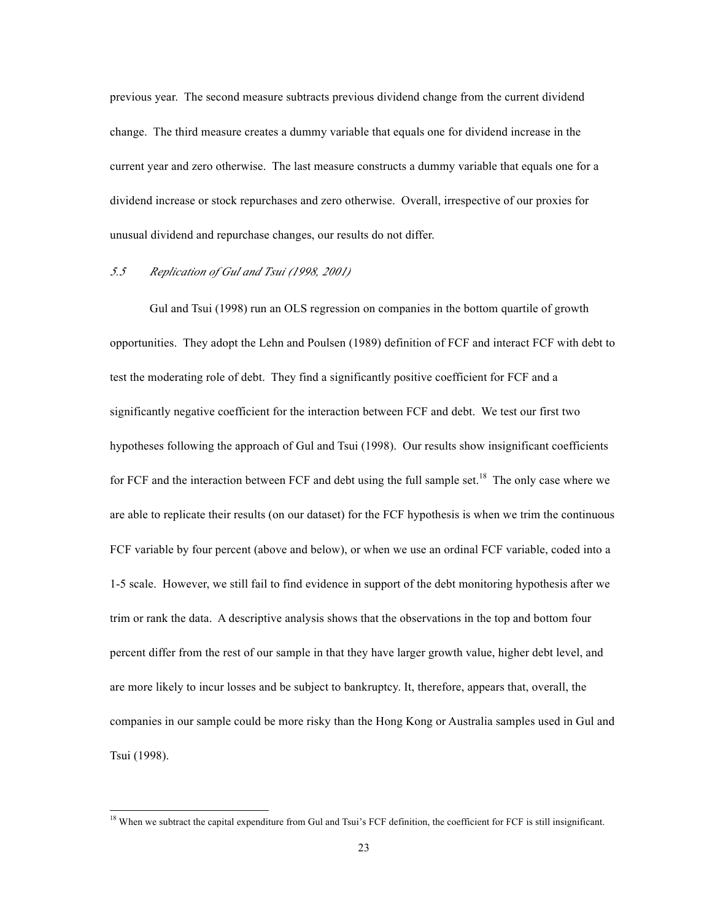previous year. The second measure subtracts previous dividend change from the current dividend change. The third measure creates a dummy variable that equals one for dividend increase in the current year and zero otherwise. The last measure constructs a dummy variable that equals one for a dividend increase or stock repurchases and zero otherwise. Overall, irrespective of our proxies for unusual dividend and repurchase changes, our results do not differ.

# *5.5 Replication of Gul and Tsui (1998, 2001)*

Gul and Tsui (1998) run an OLS regression on companies in the bottom quartile of growth opportunities. They adopt the Lehn and Poulsen (1989) definition of FCF and interact FCF with debt to test the moderating role of debt. They find a significantly positive coefficient for FCF and a significantly negative coefficient for the interaction between FCF and debt. We test our first two hypotheses following the approach of Gul and Tsui (1998). Our results show insignificant coefficients for FCF and the interaction between FCF and debt using the full sample set.<sup>18</sup> The only case where we are able to replicate their results (on our dataset) for the FCF hypothesis is when we trim the continuous FCF variable by four percent (above and below), or when we use an ordinal FCF variable, coded into a 1-5 scale. However, we still fail to find evidence in support of the debt monitoring hypothesis after we trim or rank the data. A descriptive analysis shows that the observations in the top and bottom four percent differ from the rest of our sample in that they have larger growth value, higher debt level, and are more likely to incur losses and be subject to bankruptcy. It, therefore, appears that, overall, the companies in our sample could be more risky than the Hong Kong or Australia samples used in Gul and Tsui (1998).

<sup>&</sup>lt;sup>18</sup> When we subtract the capital expenditure from Gul and Tsui's FCF definition, the coefficient for FCF is still insignificant.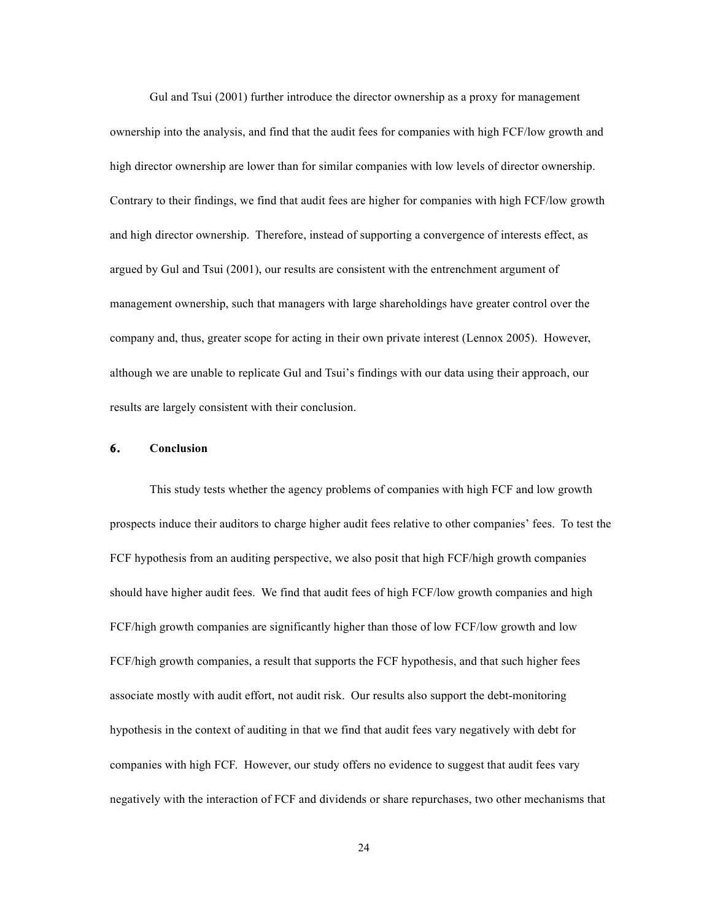Gul and Tsui (2001) further introduce the director ownership as a proxy for management ownership into the analysis, and find that the audit fees for companies with high FCF/low growth and high director ownership are lower than for similar companies with low levels of director ownership. Contrary to their findings, we find that audit fees are higher for companies with high FCF/low growth and high director ownership. Therefore, instead of supporting a convergence of interests effect, as argued by Gul and Tsui (2001), our results are consistent with the entrenchment argument of management ownership, such that managers with large shareholdings have greater control over the company and, thus, greater scope for acting in their own private interest (Lennox 2005). However, although we are unable to replicate Gul and Tsui's findings with our data using their approach, our results are largely consistent with their conclusion.

# **6. Conclusion**

This study tests whether the agency problems of companies with high FCF and low growth prospects induce their auditors to charge higher audit fees relative to other companies' fees. To test the FCF hypothesis from an auditing perspective, we also posit that high FCF/high growth companies should have higher audit fees. We find that audit fees of high FCF/low growth companies and high FCF/high growth companies are significantly higher than those of low FCF/low growth and low FCF/high growth companies, a result that supports the FCF hypothesis, and that such higher fees associate mostly with audit effort, not audit risk. Our results also support the debt-monitoring hypothesis in the context of auditing in that we find that audit fees vary negatively with debt for companies with high FCF. However, our study offers no evidence to suggest that audit fees vary negatively with the interaction of FCF and dividends or share repurchases, two other mechanisms that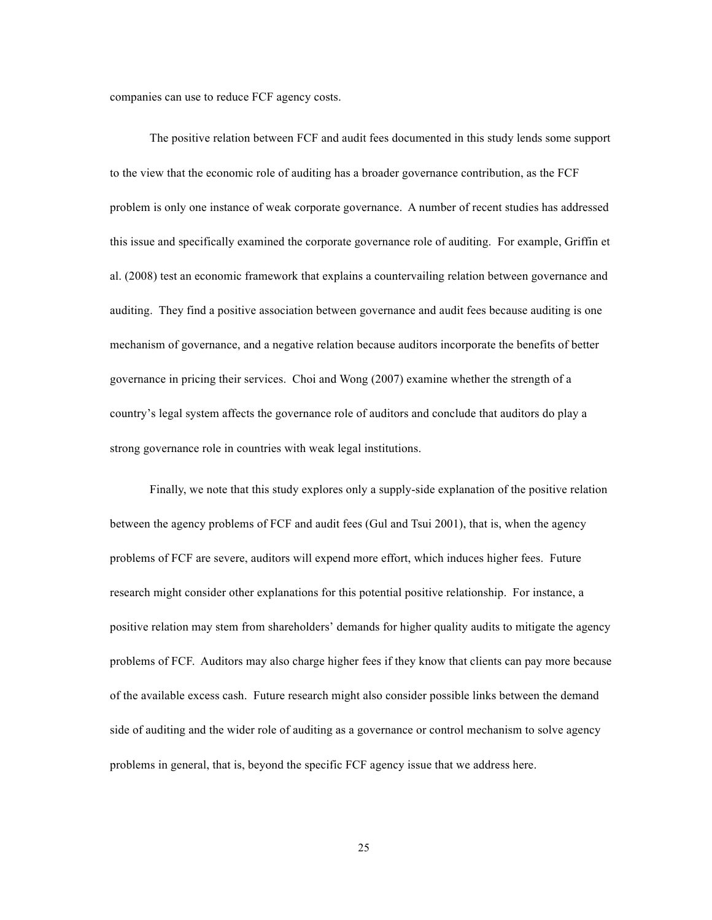companies can use to reduce FCF agency costs.

The positive relation between FCF and audit fees documented in this study lends some support to the view that the economic role of auditing has a broader governance contribution, as the FCF problem is only one instance of weak corporate governance. A number of recent studies has addressed this issue and specifically examined the corporate governance role of auditing. For example, Griffin et al. (2008) test an economic framework that explains a countervailing relation between governance and auditing. They find a positive association between governance and audit fees because auditing is one mechanism of governance, and a negative relation because auditors incorporate the benefits of better governance in pricing their services. Choi and Wong (2007) examine whether the strength of a country's legal system affects the governance role of auditors and conclude that auditors do play a strong governance role in countries with weak legal institutions.

Finally, we note that this study explores only a supply-side explanation of the positive relation between the agency problems of FCF and audit fees (Gul and Tsui 2001), that is, when the agency problems of FCF are severe, auditors will expend more effort, which induces higher fees. Future research might consider other explanations for this potential positive relationship. For instance, a positive relation may stem from shareholders' demands for higher quality audits to mitigate the agency problems of FCF. Auditors may also charge higher fees if they know that clients can pay more because of the available excess cash. Future research might also consider possible links between the demand side of auditing and the wider role of auditing as a governance or control mechanism to solve agency problems in general, that is, beyond the specific FCF agency issue that we address here.

25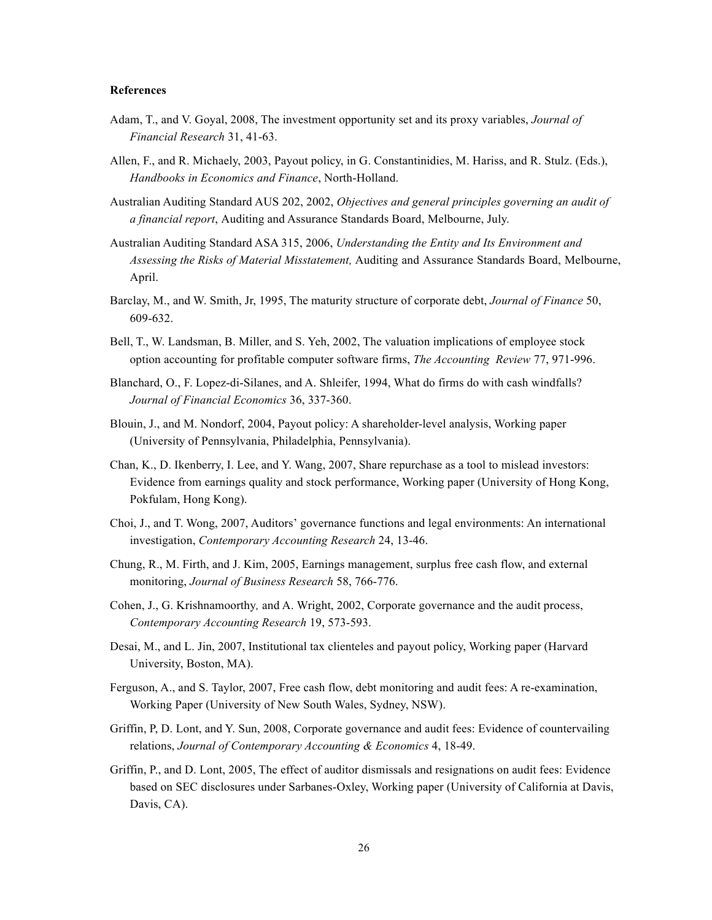# **References**

- Adam, T., and V. Goyal, 2008, The investment opportunity set and its proxy variables, *Journal of Financial Research* 31, 41-63.
- Allen, F., and R. Michaely, 2003, Payout policy, in G. Constantinidies, M. Hariss, and R. Stulz. (Eds.), *Handbooks in Economics and Finance*, North-Holland.
- Australian Auditing Standard AUS 202, 2002, *Objectives and general principles governing an audit of a financial report*, Auditing and Assurance Standards Board, Melbourne, July.
- Australian Auditing Standard ASA 315, 2006, *Understanding the Entity and Its Environment and Assessing the Risks of Material Misstatement,* Auditing and Assurance Standards Board, Melbourne, April.
- Barclay, M., and W. Smith, Jr, 1995, The maturity structure of corporate debt, *Journal of Finance* 50, 609-632.
- Bell, T., W. Landsman, B. Miller, and S. Yeh, 2002, The valuation implications of employee stock option accounting for profitable computer software firms, *The Accounting Review* 77, 971-996.
- Blanchard, O., F. Lopez-di-Silanes, and A. Shleifer, 1994, What do firms do with cash windfalls? *Journal of Financial Economics* 36, 337-360.
- Blouin, J., and M. Nondorf, 2004, Payout policy: A shareholder-level analysis, Working paper (University of Pennsylvania, Philadelphia, Pennsylvania).
- Chan, K., D. Ikenberry, I. Lee, and Y. Wang, 2007, Share repurchase as a tool to mislead investors: Evidence from earnings quality and stock performance, Working paper (University of Hong Kong, Pokfulam, Hong Kong).
- Choi, J., and T. Wong, 2007, Auditors' governance functions and legal environments: An international investigation, *Contemporary Accounting Research* 24, 13-46.
- Chung, R., M. Firth, and J. Kim, 2005, Earnings management, surplus free cash flow, and external monitoring, *Journal of Business Research* 58, 766-776.
- Cohen, J., G. Krishnamoorthy*,* and A. Wright, 2002, Corporate governance and the audit process, *Contemporary Accounting Research* 19, 573-593.
- Desai, M., and L. Jin, 2007, Institutional tax clienteles and payout policy, Working paper (Harvard University, Boston, MA).
- Ferguson, A., and S. Taylor, 2007, Free cash flow, debt monitoring and audit fees: A re-examination, Working Paper (University of New South Wales, Sydney, NSW).
- Griffin, P, D. Lont, and Y. Sun, 2008, Corporate governance and audit fees: Evidence of countervailing relations, *Journal of Contemporary Accounting & Economics* 4, 18-49.
- Griffin, P., and D. Lont, 2005, The effect of auditor dismissals and resignations on audit fees: Evidence based on SEC disclosures under Sarbanes-Oxley, Working paper (University of California at Davis, Davis, CA).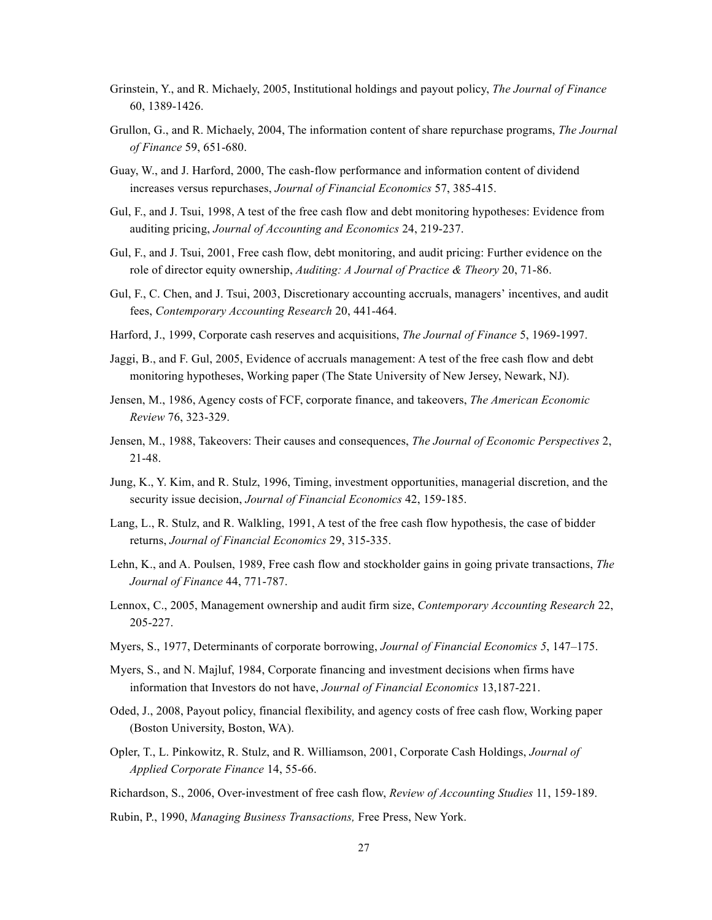- Grinstein, Y., and R. Michaely, 2005, Institutional holdings and payout policy, *The Journal of Finance* 60, 1389-1426.
- Grullon, G., and R. Michaely, 2004, The information content of share repurchase programs, *The Journal of Finance* 59, 651-680.
- Guay, W., and J. Harford, 2000, The cash-flow performance and information content of dividend increases versus repurchases, *Journal of Financial Economics* 57, 385-415.
- Gul, F., and J. Tsui, 1998, A test of the free cash flow and debt monitoring hypotheses: Evidence from auditing pricing, *Journal of Accounting and Economics* 24, 219-237.
- Gul, F., and J. Tsui, 2001, Free cash flow, debt monitoring, and audit pricing: Further evidence on the role of director equity ownership, *Auditing: A Journal of Practice & Theory* 20, 71-86.
- Gul, F., C. Chen, and J. Tsui, 2003, Discretionary accounting accruals, managers' incentives, and audit fees, *Contemporary Accounting Research* 20, 441-464.
- Harford, J., 1999, Corporate cash reserves and acquisitions, *The Journal of Finance* 5, 1969-1997.
- Jaggi, B., and F. Gul, 2005, Evidence of accruals management: A test of the free cash flow and debt monitoring hypotheses, Working paper (The State University of New Jersey, Newark, NJ).
- Jensen, M., 1986, Agency costs of FCF, corporate finance, and takeovers, *The American Economic Review* 76, 323-329.
- Jensen, M., 1988, Takeovers: Their causes and consequences, *The Journal of Economic Perspectives* 2, 21-48.
- Jung, K., Y. Kim, and R. Stulz, 1996, Timing, investment opportunities, managerial discretion, and the security issue decision, *Journal of Financial Economics* 42, 159-185.
- Lang, L., R. Stulz, and R. Walkling, 1991, A test of the free cash flow hypothesis, the case of bidder returns, *Journal of Financial Economics* 29, 315-335.
- Lehn, K., and A. Poulsen, 1989, Free cash flow and stockholder gains in going private transactions, *The Journal of Finance* 44, 771-787.
- Lennox, C., 2005, Management ownership and audit firm size, *Contemporary Accounting Research* 22, 205-227.
- Myers, S., 1977, Determinants of corporate borrowing, *Journal of Financial Economics 5*, 147–175.
- Myers, S., and N. Majluf, 1984, Corporate financing and investment decisions when firms have information that Investors do not have, *Journal of Financial Economics* 13,187-221.
- Oded, J., 2008, Payout policy, financial flexibility, and agency costs of free cash flow, Working paper (Boston University, Boston, WA).
- Opler, T., L. Pinkowitz, R. Stulz, and R. Williamson, 2001, Corporate Cash Holdings, *Journal of Applied Corporate Finance* 14, 55-66.
- Richardson, S., 2006, Over-investment of free cash flow, *Review of Accounting Studies* 11, 159-189.
- Rubin, P., 1990, *Managing Business Transactions,* Free Press, New York.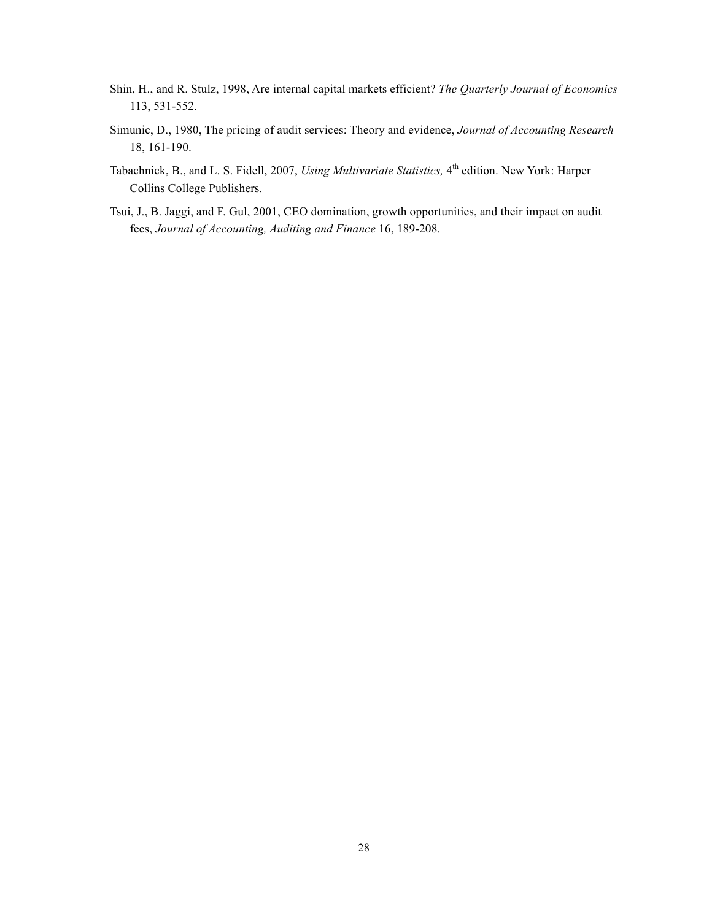- Shin, H., and R. Stulz, 1998, Are internal capital markets efficient? *The Quarterly Journal of Economics* 113, 531-552.
- Simunic, D., 1980, The pricing of audit services: Theory and evidence, *Journal of Accounting Research* 18, 161-190.
- Tabachnick, B., and L. S. Fidell, 2007, *Using Multivariate Statistics*, 4<sup>th</sup> edition. New York: Harper Collins College Publishers.
- Tsui, J., B. Jaggi, and F. Gul, 2001, CEO domination, growth opportunities, and their impact on audit fees, *Journal of Accounting, Auditing and Finance* 16, 189-208.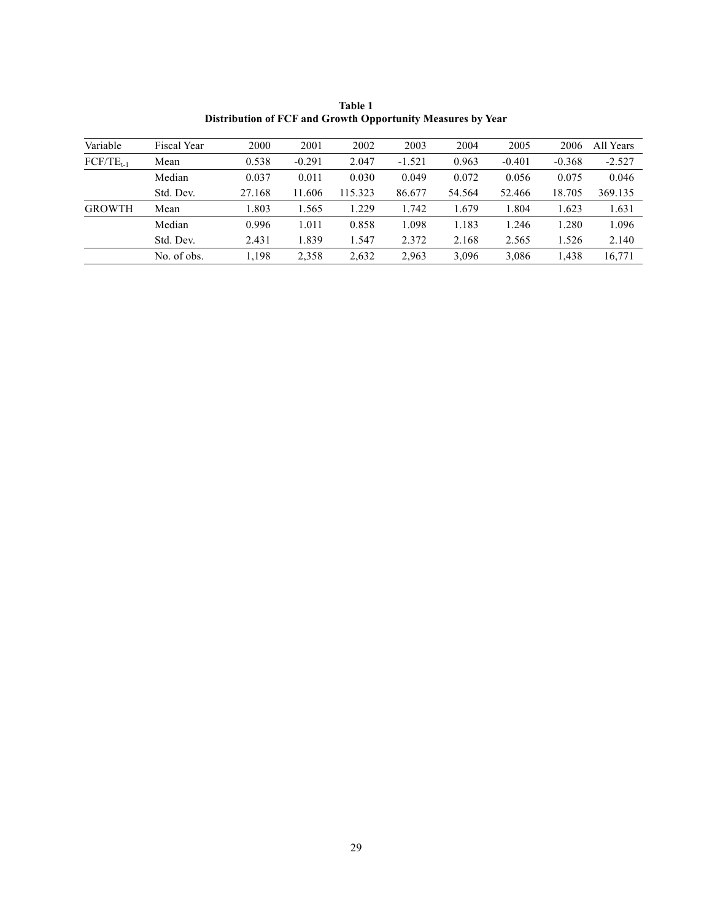| Variable       | Fiscal Year | 2000   | 2001     | 2002    | 2003     | 2004   | 2005     | 2006     | All Years |
|----------------|-------------|--------|----------|---------|----------|--------|----------|----------|-----------|
| $FCF/TE_{t-1}$ | Mean        | 0.538  | $-0.291$ | 2.047   | $-1.521$ | 0.963  | $-0.401$ | $-0.368$ | $-2.527$  |
|                | Median      | 0.037  | 0.011    | 0.030   | 0.049    | 0.072  | 0.056    | 0.075    | 0.046     |
|                | Std. Dev.   | 27.168 | 11.606   | 115.323 | 86.677   | 54.564 | 52.466   | 18.705   | 369.135   |
| <b>GROWTH</b>  | Mean        | 1.803  | 1.565    | 1.229   | 1.742    | 1.679  | 1.804    | 1.623    | 1.631     |
|                | Median      | 0.996  | 1.011    | 0.858   | 1.098    | 1.183  | 1.246    | 1.280    | 1.096     |
|                | Std. Dev.   | 2.431  | 1.839    | 1.547   | 2.372    | 2.168  | 2.565    | 1.526    | 2.140     |
|                | No. of obs. | 1.198  | 2.358    | 2,632   | 2,963    | 3,096  | 3.086    | 1.438    | 16,771    |

**Table 1 Distribution of FCF and Growth Opportunity Measures by Year**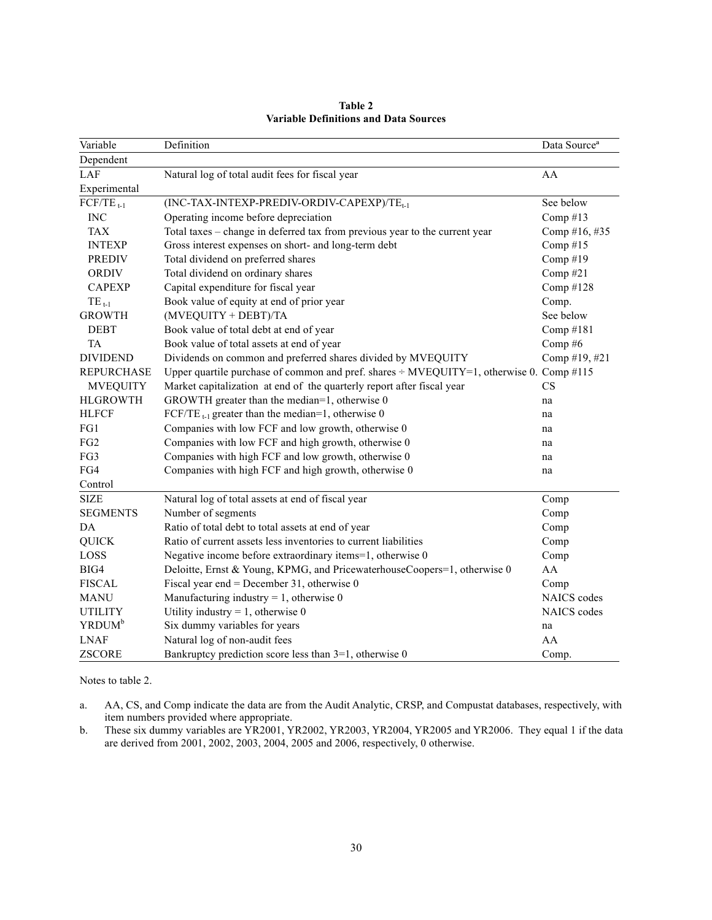| Variable           | Definition                                                                              | Data Source <sup>a</sup> |
|--------------------|-----------------------------------------------------------------------------------------|--------------------------|
| Dependent          |                                                                                         |                          |
| LAF                | Natural log of total audit fees for fiscal year                                         | AA                       |
| Experimental       |                                                                                         |                          |
| $FCF/TE_{t-1}$     | (INC-TAX-INTEXP-PREDIV-ORDIV-CAPEXP)/TE <sub>t-1</sub>                                  | See below                |
| <b>INC</b>         | Operating income before depreciation                                                    | Comp $#13$               |
| <b>TAX</b>         | Total taxes – change in deferred tax from previous year to the current year             | Comp #16, #35            |
| <b>INTEXP</b>      | Gross interest expenses on short- and long-term debt                                    | Comp $#15$               |
| <b>PREDIV</b>      | Total dividend on preferred shares                                                      | Comp#19                  |
| <b>ORDIV</b>       | Total dividend on ordinary shares                                                       | Comp#21                  |
| <b>CAPEXP</b>      | Capital expenditure for fiscal year                                                     | Comp #128                |
| $TE_{t-1}$         | Book value of equity at end of prior year                                               | Comp.                    |
| <b>GROWTH</b>      | (MVEQUITY + DEBT)/TA                                                                    | See below                |
| <b>DEBT</b>        | Book value of total debt at end of year                                                 | Comp #181                |
| <b>TA</b>          | Book value of total assets at end of year                                               | Comp $#6$                |
| <b>DIVIDEND</b>    | Dividends on common and preferred shares divided by MVEQUITY                            | Comp #19, #21            |
| <b>REPURCHASE</b>  | Upper quartile purchase of common and pref. shares ÷ MVEQUITY=1, otherwise 0. Comp #115 |                          |
| <b>MVEQUITY</b>    | Market capitalization at end of the quarterly report after fiscal year                  | CS                       |
| <b>HLGROWTH</b>    | GROWTH greater than the median=1, otherwise 0                                           | na                       |
| <b>HLFCF</b>       | FCF/TE <sub>t-1</sub> greater than the median=1, otherwise 0                            | na                       |
| FG1                | Companies with low FCF and low growth, otherwise 0                                      | na                       |
| FG <sub>2</sub>    | Companies with low FCF and high growth, otherwise 0                                     | na                       |
| FG3                | Companies with high FCF and low growth, otherwise 0                                     | na                       |
| FG4                | Companies with high FCF and high growth, otherwise 0                                    | na                       |
| Control            |                                                                                         |                          |
| <b>SIZE</b>        | Natural log of total assets at end of fiscal year                                       | Comp                     |
| <b>SEGMENTS</b>    | Number of segments                                                                      | Comp                     |
| DA                 | Ratio of total debt to total assets at end of year                                      | Comp                     |
| <b>QUICK</b>       | Ratio of current assets less inventories to current liabilities                         | Comp                     |
| LOSS               | Negative income before extraordinary items=1, otherwise 0                               | Comp                     |
| BIG4               | Deloitte, Ernst & Young, KPMG, and PricewaterhouseCoopers=1, otherwise 0                | AA                       |
| <b>FISCAL</b>      | Fiscal year end = December 31, otherwise $0$                                            | Comp                     |
| <b>MANU</b>        | Manufacturing industry = 1, otherwise $0$                                               | <b>NAICS</b> codes       |
| <b>UTILITY</b>     | Utility industry = 1, otherwise $0$                                                     | NAICS codes              |
| YRDUM <sup>b</sup> | Six dummy variables for years                                                           | na                       |
| <b>LNAF</b>        | Natural log of non-audit fees                                                           | AA                       |
| <b>ZSCORE</b>      | Bankruptcy prediction score less than 3=1, otherwise 0                                  | Comp.                    |

#### **Table 2 Variable Definitions and Data Sources**

Notes to table 2.

a. AA, CS, and Comp indicate the data are from the Audit Analytic, CRSP, and Compustat databases, respectively, with item numbers provided where appropriate.

b. These six dummy variables are YR2001, YR2002, YR2003, YR2004, YR2005 and YR2006. They equal 1 if the data are derived from 2001, 2002, 2003, 2004, 2005 and 2006, respectively, 0 otherwise.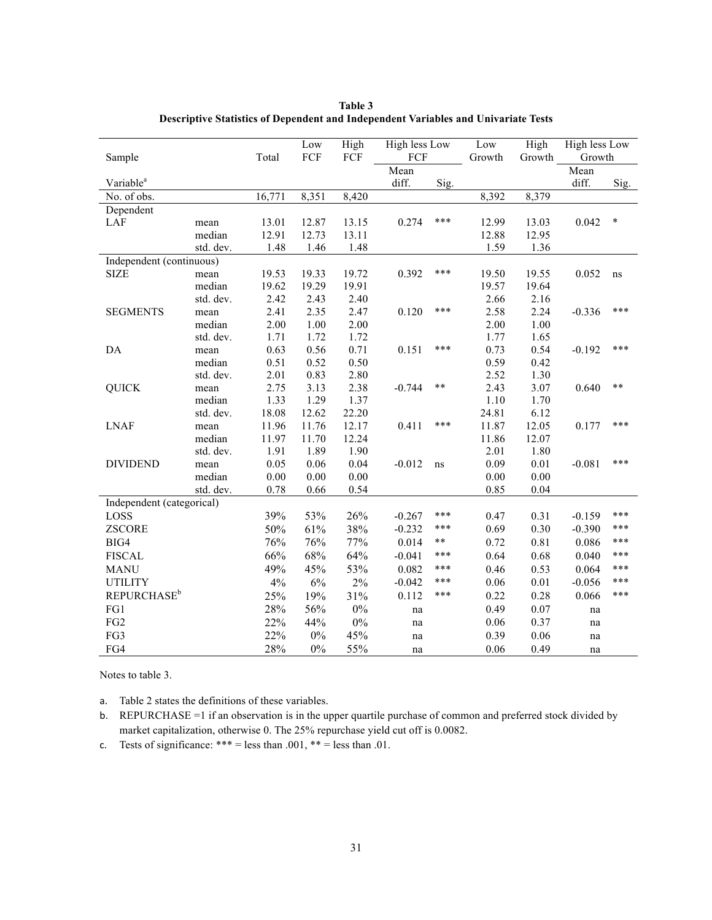|                                |           |        | Low   | High  | <b>High less Low</b> |       | Low      | High   | <b>High less Low</b> |        |
|--------------------------------|-----------|--------|-------|-------|----------------------|-------|----------|--------|----------------------|--------|
| Sample                         |           | Total  | FCF   | FCF   | FCF                  |       | Growth   | Growth | Growth               |        |
|                                |           |        |       |       | Mean                 |       |          |        | Mean                 |        |
| Variable <sup>a</sup>          |           |        |       |       | diff.                | Sig.  |          |        | diff.                | Sig.   |
| No. of obs.                    |           | 16,771 | 8,351 | 8,420 |                      |       | 8,392    | 8,379  |                      |        |
| Dependent                      |           |        |       |       |                      |       |          |        |                      |        |
| LAF                            | mean      | 13.01  | 12.87 | 13.15 | 0.274                | ***   | 12.99    | 13.03  | 0.042                | $\ast$ |
|                                | median    | 12.91  | 12.73 | 13.11 |                      |       | 12.88    | 12.95  |                      |        |
|                                | std. dev. | 1.48   | 1.46  | 1.48  |                      |       | 1.59     | 1.36   |                      |        |
| Independent (continuous)       |           |        |       |       |                      |       |          |        |                      |        |
| <b>SIZE</b>                    | mean      | 19.53  | 19.33 | 19.72 | 0.392                | ***   | 19.50    | 19.55  | 0.052                | ns     |
|                                | median    | 19.62  | 19.29 | 19.91 |                      |       | 19.57    | 19.64  |                      |        |
|                                | std. dev. | 2.42   | 2.43  | 2.40  |                      |       | 2.66     | 2.16   |                      |        |
| <b>SEGMENTS</b>                | mean      | 2.41   | 2.35  | 2.47  | 0.120                | ***   | 2.58     | 2.24   | $-0.336$             | ***    |
|                                | median    | 2.00   | 1.00  | 2.00  |                      |       | 2.00     | 1.00   |                      |        |
|                                | std. dev. | 1.71   | 1.72  | 1.72  |                      |       | 1.77     | 1.65   |                      |        |
| DA                             | mean      | 0.63   | 0.56  | 0.71  | 0.151                | ***   | 0.73     | 0.54   | $-0.192$             | ***    |
|                                | median    | 0.51   | 0.52  | 0.50  |                      |       | 0.59     | 0.42   |                      |        |
|                                | std. dev. | 2.01   | 0.83  | 2.80  |                      |       | 2.52     | 1.30   |                      |        |
| <b>QUICK</b>                   | mean      | 2.75   | 3.13  | 2.38  | $-0.744$             | $***$ | 2.43     | 3.07   | 0.640                | **     |
|                                | median    | 1.33   | 1.29  | 1.37  |                      |       | 1.10     | 1.70   |                      |        |
|                                | std. dev. | 18.08  | 12.62 | 22.20 |                      |       | 24.81    | 6.12   |                      |        |
| <b>LNAF</b>                    | mean      | 11.96  | 11.76 | 12.17 | 0.411                | ***   | 11.87    | 12.05  | 0.177                | ***    |
|                                | median    | 11.97  | 11.70 | 12.24 |                      |       | 11.86    | 12.07  |                      |        |
|                                | std. dev. | 1.91   | 1.89  | 1.90  |                      |       | 2.01     | 1.80   |                      |        |
| <b>DIVIDEND</b>                | mean      | 0.05   | 0.06  | 0.04  | $-0.012$             | ns    | 0.09     | 0.01   | $-0.081$             | ***    |
|                                | median    | 0.00   | 0.00  | 0.00  |                      |       | $0.00\,$ | 0.00   |                      |        |
|                                | std. dev. | 0.78   | 0.66  | 0.54  |                      |       | 0.85     | 0.04   |                      |        |
| Independent (categorical)      |           |        |       |       |                      |       |          |        |                      |        |
| LOSS                           |           | 39%    | 53%   | 26%   | $-0.267$             | ***   | 0.47     | 0.31   | $-0.159$             | ***    |
| <b>ZSCORE</b>                  |           | 50%    | 61%   | 38%   | $-0.232$             | ***   | 0.69     | 0.30   | $-0.390$             | ***    |
| BIG4                           |           | 76%    | 76%   | 77%   | 0.014                | **    | 0.72     | 0.81   | 0.086                | ***    |
| <b>FISCAL</b>                  |           | 66%    | 68%   | 64%   | $-0.041$             | ***   | 0.64     | 0.68   | 0.040                | ***    |
| <b>MANU</b>                    |           | 49%    | 45%   | 53%   | 0.082                | ***   | 0.46     | 0.53   | 0.064                | ***    |
| <b>UTILITY</b>                 |           | 4%     | $6\%$ | $2\%$ | $-0.042$             | ***   | 0.06     | 0.01   | $-0.056$             | ***    |
| <b>REPURCHASE</b> <sup>b</sup> |           | 25%    | 19%   | 31%   | 0.112                | ***   | 0.22     | 0.28   | 0.066                | ***    |
| FG1                            |           | 28%    | 56%   | $0\%$ | na                   |       | 0.49     | 0.07   | na                   |        |
| FG <sub>2</sub>                |           | 22%    | 44%   | $0\%$ | na                   |       | 0.06     | 0.37   | na                   |        |
| FG3                            |           | 22%    | $0\%$ | 45%   |                      |       | 0.39     | 0.06   |                      |        |
|                                |           |        |       |       | na                   |       |          |        | na                   |        |
| FG4                            |           | 28%    | $0\%$ | 55%   | na                   |       | 0.06     | 0.49   | na                   |        |

**Table 3 Descriptive Statistics of Dependent and Independent Variables and Univariate Tests**

Notes to table 3.

a. Table 2 states the definitions of these variables.

b. REPURCHASE =1 if an observation is in the upper quartile purchase of common and preferred stock divided by market capitalization, otherwise 0. The 25% repurchase yield cut off is 0.0082.

c. Tests of significance: \*\*\* = less than .001, \*\* = less than .01.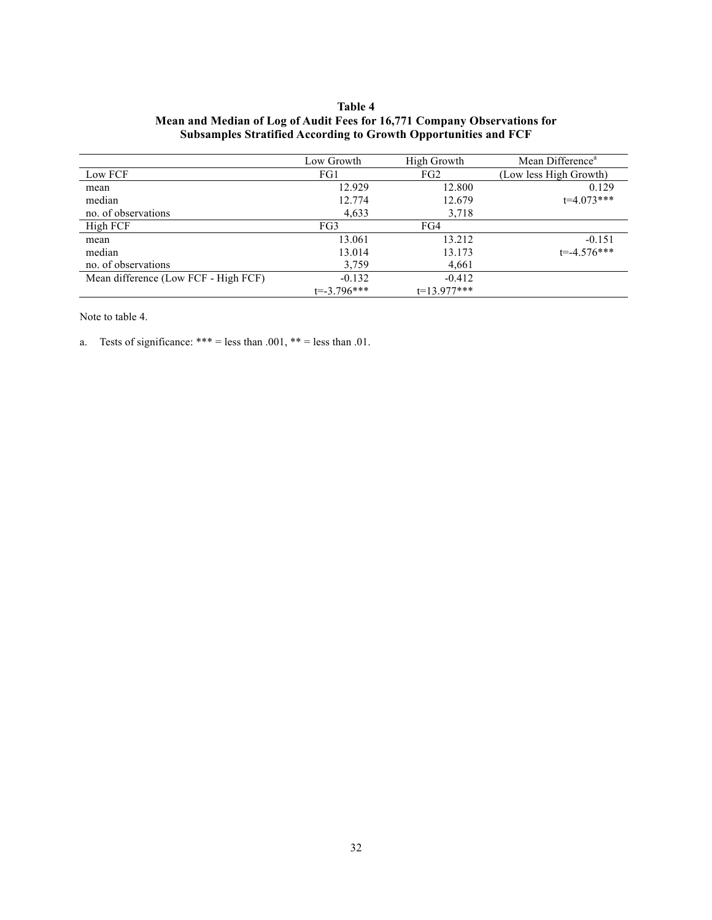# **Table 4 Mean and Median of Log of Audit Fees for 16,771 Company Observations for Subsamples Stratified According to Growth Opportunities and FCF**

|                                      | Low Growth      | High Growth     | Mean Difference <sup>a</sup> |
|--------------------------------------|-----------------|-----------------|------------------------------|
| Low FCF                              | FG1             | FG <sub>2</sub> | (Low less High Growth)       |
| mean                                 | 12.929          | 12.800          | 0.129                        |
| median                               | 12.774          | 12.679          | $t=4.073***$                 |
| no. of observations                  | 4,633           | 3,718           |                              |
| High FCF                             | FG3             | FG4             |                              |
| mean                                 | 13.061          | 13.212          | $-0.151$                     |
| median                               | 13.014          | 13.173          | $t = -4.576$ ***             |
| no. of observations                  | 3,759           | 4,661           |                              |
| Mean difference (Low FCF - High FCF) | $-0.132$        | $-0.412$        |                              |
|                                      | $t = -3.796***$ | $t=13.977***$   |                              |

Note to table 4.

a. Tests of significance: \*\*\* = less than .001, \*\* = less than .01.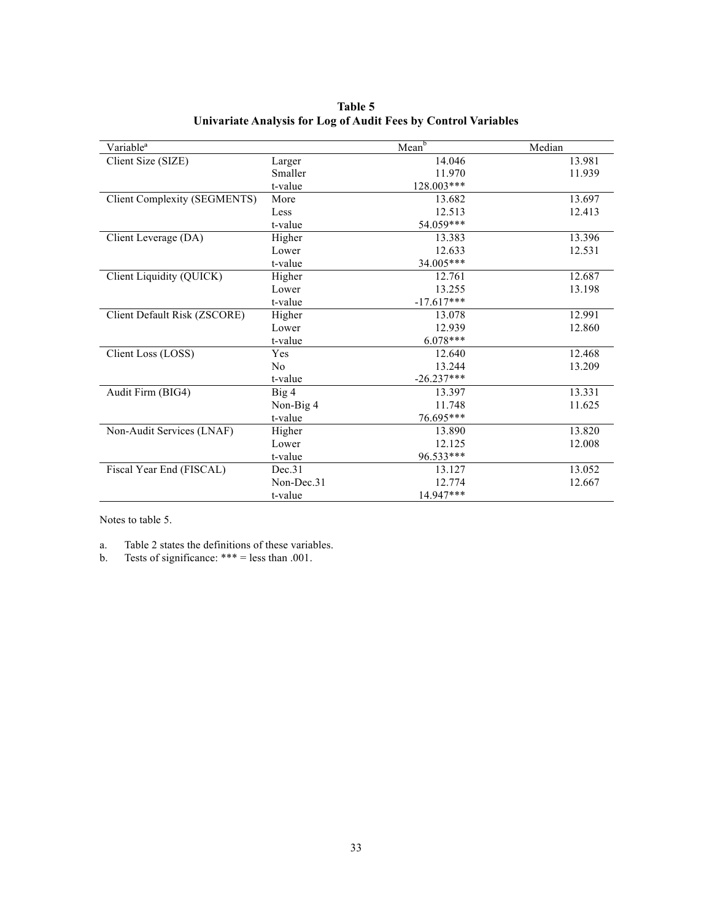| Variable <sup>a</sup>               |                | Mean <sup>b</sup> | Median |
|-------------------------------------|----------------|-------------------|--------|
| Client Size (SIZE)                  | Larger         | 14.046            | 13.981 |
|                                     | Smaller        | 11.970            | 11.939 |
|                                     | t-value        | 128.003***        |        |
| <b>Client Complexity (SEGMENTS)</b> | More           | 13.682            | 13.697 |
|                                     | Less           | 12.513            | 12.413 |
|                                     | t-value        | 54.059***         |        |
| Client Leverage (DA)                | Higher         | 13.383            | 13.396 |
|                                     | Lower          | 12.633            | 12.531 |
|                                     | t-value        | 34.005***         |        |
| Client Liquidity (QUICK)            | Higher         | 12.761            | 12.687 |
|                                     | Lower          | 13.255            | 13.198 |
|                                     | t-value        | $-17.617***$      |        |
| Client Default Risk (ZSCORE)        | Higher         | 13.078            | 12.991 |
|                                     | Lower          | 12.939            | 12.860 |
|                                     | t-value        | $6.078***$        |        |
| Client Loss (LOSS)                  | Yes            | 12.640            | 12.468 |
|                                     | N <sub>0</sub> | 13.244            | 13.209 |
|                                     | t-value        | $-26.237***$      |        |
| Audit Firm (BIG4)                   | Big 4          | 13.397            | 13.331 |
|                                     | Non-Big 4      | 11.748            | 11.625 |
|                                     | t-value        | 76.695***         |        |
| Non-Audit Services (LNAF)           | Higher         | 13.890            | 13.820 |
|                                     | Lower          | 12.125            | 12.008 |
|                                     | t-value        | 96.533***         |        |
| Fiscal Year End (FISCAL)            | Dec.31         | 13.127            | 13.052 |
|                                     | Non-Dec.31     | 12.774            | 12.667 |
|                                     | t-value        | 14.947***         |        |

**Table 5 Univariate Analysis for Log of Audit Fees by Control Variables**

Notes to table 5.

a. Table 2 states the definitions of these variables.

b. Tests of significance:  $***$  = less than .001.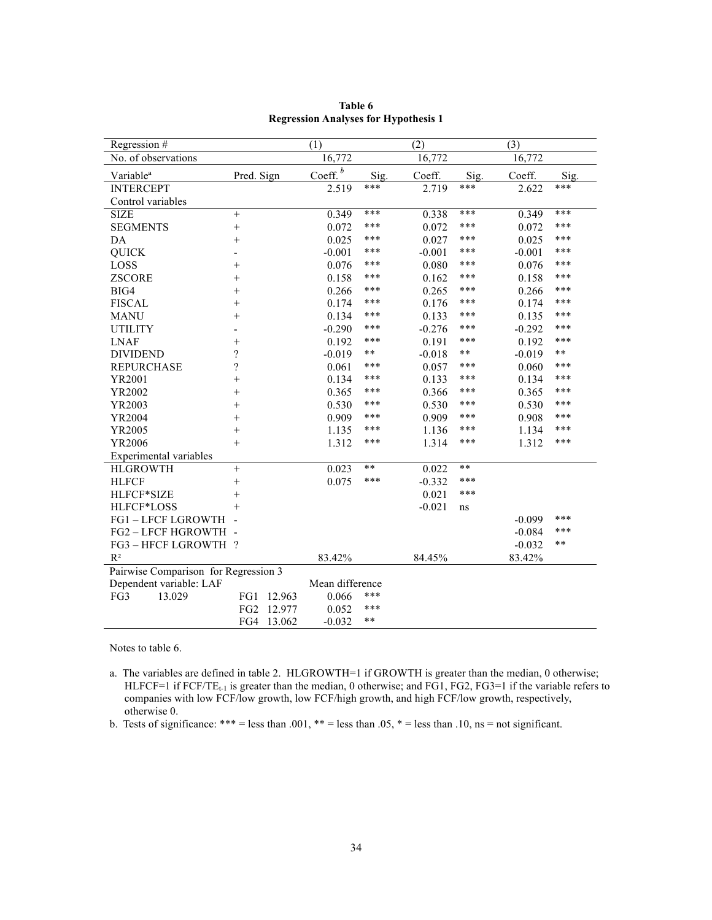| Regression #                         |                          |        | (1)                             |       | (2)      |       | (3)      |       |
|--------------------------------------|--------------------------|--------|---------------------------------|-------|----------|-------|----------|-------|
| No. of observations                  |                          |        | 16,772                          |       | 16,772   |       | 16,772   |       |
| Variable <sup>a</sup>                | Pred. Sign               |        | $\underline{\mathrm{Coeff.}}^b$ | Sig.  | Coeff.   | Sig.  | Coeff.   | Sig.  |
| <b>INTERCEPT</b>                     |                          |        | 2.519                           | ***   | 2.719    | ***   | 2.622    | ***   |
| Control variables                    |                          |        |                                 |       |          |       |          |       |
| <b>SIZE</b>                          | $^{+}$                   |        | 0.349                           | ***   | 0.338    | ***   | 0.349    | ***   |
| <b>SEGMENTS</b>                      | $^{+}$                   |        | 0.072                           | ***   | 0.072    | ***   | 0.072    | ***   |
| DA                                   | $\ddot{}$                |        | 0.025                           | ***   | 0.027    | ***   | 0.025    | ***   |
| <b>QUICK</b>                         |                          |        | $-0.001$                        | ***   | $-0.001$ | ***   | $-0.001$ | ***   |
| LOSS                                 | $^{+}$                   |        | 0.076                           | ***   | 0.080    | ***   | 0.076    | ***   |
| <b>ZSCORE</b>                        | $^{+}$                   |        | 0.158                           | ***   | 0.162    | ***   | 0.158    | ***   |
| BIG4                                 | $^{+}$                   |        | 0.266                           | ***   | 0.265    | ***   | 0.266    | ***   |
| <b>FISCAL</b>                        | $^{+}$                   |        | 0.174                           | ***   | 0.176    | ***   | 0.174    | ***   |
| <b>MANU</b>                          | $^{+}$                   |        | 0.134                           | ***   | 0.133    | ***   | 0.135    | ***   |
| <b>UTILITY</b>                       |                          |        | $-0.290$                        | ***   | $-0.276$ | ***   | $-0.292$ | ***   |
| <b>LNAF</b>                          | $^{+}$                   |        | 0.192                           | ***   | 0.191    | ***   | 0.192    | ***   |
| <b>DIVIDEND</b>                      | $\overline{\mathcal{L}}$ |        | $-0.019$                        | **    | $-0.018$ | $***$ | $-0.019$ | $***$ |
| <b>REPURCHASE</b>                    | $\overline{\mathcal{C}}$ |        | 0.061                           | ***   | 0.057    | ***   | 0.060    | ***   |
| YR2001                               | $\ddot{}$                |        | 0.134                           | ***   | 0.133    | ***   | 0.134    | ***   |
| YR2002                               | $^{+}$                   |        | 0.365                           | ***   | 0.366    | ***   | 0.365    | ***   |
| YR2003                               | $^{+}$                   |        | 0.530                           | ***   | 0.530    | ***   | 0.530    | ***   |
| YR2004                               | $^{+}$                   |        | 0.909                           | ***   | 0.909    | ***   | 0.908    | ***   |
| YR2005                               | $\ddot{}$                |        | 1.135                           | ***   | 1.136    | ***   | 1.134    | ***   |
| YR2006                               | $^{+}$                   |        | 1.312                           | ***   | 1.314    | ***   | 1.312    | ***   |
| Experimental variables               |                          |        |                                 |       |          |       |          |       |
| <b>HLGROWTH</b>                      | $+$                      |        | 0.023                           | **    | 0.022    | **    |          |       |
| <b>HLFCF</b>                         | $^{+}$                   |        | 0.075                           | ***   | $-0.332$ | ***   |          |       |
| HLFCF*SIZE                           | $^{+}$                   |        |                                 |       | 0.021    | ***   |          |       |
| HLFCF*LOSS                           | $^{+}$                   |        |                                 |       | $-0.021$ | ns    |          |       |
| <b>FG1-LFCF LGROWTH</b>              |                          |        |                                 |       |          |       | $-0.099$ | ***   |
| FG2-LFCF HGROWTH -                   |                          |        |                                 |       |          |       | $-0.084$ | ***   |
| FG3-HFCF LGROWTH?                    |                          |        |                                 |       |          |       | $-0.032$ | $***$ |
| $R^2$                                |                          |        | 83.42%                          |       | 84.45%   |       | 83.42%   |       |
| Pairwise Comparison for Regression 3 |                          |        |                                 |       |          |       |          |       |
| Dependent variable: LAF              |                          |        | Mean difference                 |       |          |       |          |       |
| FG3<br>13.029                        | FG1                      | 12.963 | 0.066                           | ***   |          |       |          |       |
|                                      | FG <sub>2</sub>          | 12.977 | 0.052                           | ***   |          |       |          |       |
|                                      | FG4                      | 13.062 | $-0.032$                        | $***$ |          |       |          |       |

**Table 6 Regression Analyses for Hypothesis 1**

Notes to table 6.

a. The variables are defined in table 2. HLGROWTH=1 if GROWTH is greater than the median, 0 otherwise; HLFCF=1 if FCF/TE<sub>t-1</sub> is greater than the median, 0 otherwise; and FG1, FG2, FG3=1 if the variable refers to companies with low FCF/low growth, low FCF/high growth, and high FCF/low growth, respectively, otherwise 0.

b. Tests of significance: \*\*\* = less than .001, \*\* = less than .05, \* = less than .10, ns = not significant.